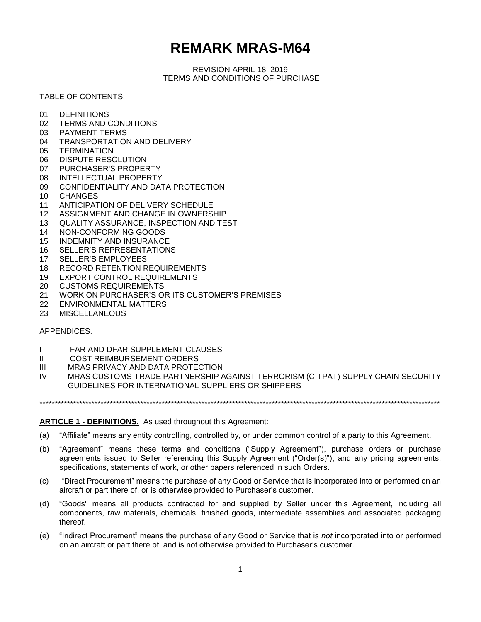# **REMARK MRAS-M64**

REVISION APRIL 18, 2019 TERMS AND CONDITIONS OF PURCHASE

# TABLE OF CONTENTS:

- 01 DEFINITIONS
- 02 TERMS AND CONDITIONS
- 03 PAYMENT TERMS
- 04 TRANSPORTATION AND DELIVERY
- 05 TERMINATION
- 06 DISPUTE RESOLUTION
- 07 PURCHASER'S PROPERTY
- 08 INTELLECTUAL PROPERTY
- 09 CONFIDENTIALITY AND DATA PROTECTION
- 10 CHANGES
- 11 ANTICIPATION OF DELIVERY SCHEDULE
- 12 ASSIGNMENT AND CHANGE IN OWNERSHIP
- 13 QUALITY ASSURANCE, INSPECTION AND TEST
- 14 NON-CONFORMING GOODS
- 15 INDEMNITY AND INSURANCE
- 16 SELLER'S REPRESENTATIONS
- 17 SELLER'S EMPLOYEES
- 18 RECORD RETENTION REQUIREMENTS
- 19 EXPORT CONTROL REQUIREMENTS
- 20 CUSTOMS REQUIREMENTS
- 21 WORK ON PURCHASER'S OR ITS CUSTOMER'S PREMISES
- 22 ENVIRONMENTAL MATTERS
- 23 MISCELLANEOUS

## APPENDICES:

- I FAR AND DFAR SUPPLEMENT CLAUSES
- II COST REIMBURSEMENT ORDERS
- III MRAS PRIVACY AND DATA PROTECTION
- IV MRAS CUSTOMS-TRADE PARTNERSHIP AGAINST TERRORISM (C-TPAT) SUPPLY CHAIN SECURITY GUIDELINES FOR INTERNATIONAL SUPPLIERS OR SHIPPERS

\*\*\*\*\*\*\*\*\*\*\*\*\*\*\*\*\*\*\*\*\*\*\*\*\*\*\*\*\*\*\*\*\*\*\*\*\*\*\*\*\*\*\*\*\*\*\*\*\*\*\*\*\*\*\*\*\*\*\*\*\*\*\*\*\*\*\*\*\*\*\*\*\*\*\*\*\*\*\*\*\*\*\*\*\*\*\*\*\*\*\*\*\*\*\*\*\*\*\*\*\*\*\*\*\*\*\*\*\*\*\*\*\*\*\*\*\*\*\*\*\*\*\*\*\*\*\*\*\*\*\*

## **ARTICLE 1 - DEFINITIONS.** As used throughout this Agreement:

- (a) "Affiliate" means any entity controlling, controlled by, or under common control of a party to this Agreement.
- (b) "Agreement" means these terms and conditions ("Supply Agreement"), purchase orders or purchase agreements issued to Seller referencing this Supply Agreement ("Order(s)"), and any pricing agreements, specifications, statements of work, or other papers referenced in such Orders.
- (c) "Direct Procurement" means the purchase of any Good or Service that is incorporated into or performed on an aircraft or part there of, or is otherwise provided to Purchaser's customer.
- (d) "Goods" means all products contracted for and supplied by Seller under this Agreement, including all components, raw materials, chemicals, finished goods, intermediate assemblies and associated packaging thereof.
- (e) "Indirect Procurement" means the purchase of any Good or Service that is *not* incorporated into or performed on an aircraft or part there of, and is not otherwise provided to Purchaser's customer.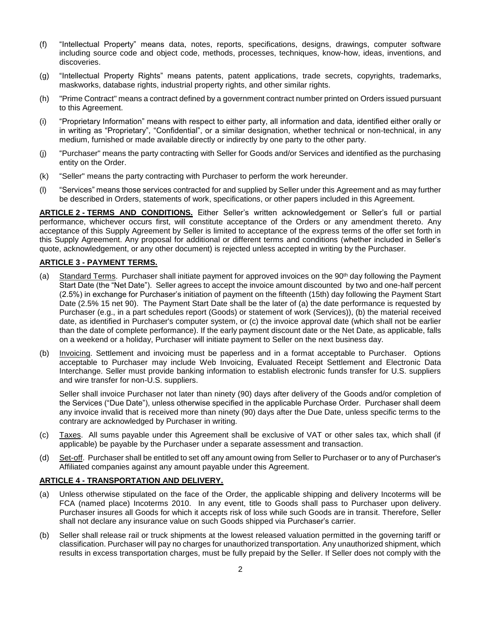- (f) "Intellectual Property" means data, notes, reports, specifications, designs, drawings, computer software including source code and object code, methods, processes, techniques, know-how, ideas, inventions, and discoveries.
- (g) "Intellectual Property Rights" means patents, patent applications, trade secrets, copyrights, trademarks, maskworks, database rights, industrial property rights, and other similar rights.
- (h) "Prime Contract" means a contract defined by a government contract number printed on Orders issued pursuant to this Agreement.
- (i) "Proprietary Information" means with respect to either party, all information and data, identified either orally or in writing as "Proprietary", "Confidential", or a similar designation, whether technical or non-technical, in any medium, furnished or made available directly or indirectly by one party to the other party.
- (j) "Purchaser" means the party contracting with Seller for Goods and/or Services and identified as the purchasing entity on the Order.
- (k) "Seller" means the party contracting with Purchaser to perform the work hereunder.
- (l) "Services" means those services contracted for and supplied by Seller under this Agreement and as may further be described in Orders, statements of work, specifications, or other papers included in this Agreement.

**ARTICLE 2 - TERMS AND CONDITIONS.** Either Seller's written acknowledgement or Seller's full or partial performance, whichever occurs first, will constitute acceptance of the Orders or any amendment thereto. Any acceptance of this Supply Agreement by Seller is limited to acceptance of the express terms of the offer set forth in this Supply Agreement. Any proposal for additional or different terms and conditions (whether included in Seller's quote, acknowledgement, or any other document) is rejected unless accepted in writing by the Purchaser.

# **ARTICLE 3 - PAYMENT TERMS.**

- (a) Standard Terms. Purchaser shall initiate payment for approved invoices on the 90<sup>th</sup> day following the Payment Start Date (the "Net Date"). Seller agrees to accept the invoice amount discounted by two and one-half percent (2.5%) in exchange for Purchaser's initiation of payment on the fifteenth (15th) day following the Payment Start Date (2.5% 15 net 90). The Payment Start Date shall be the later of (a) the date performance is requested by Purchaser (e.g., in a part schedules report (Goods) or statement of work (Services)), (b) the material received date, as identified in Purchaser's computer system, or (c) the invoice approval date (which shall not be earlier than the date of complete performance). If the early payment discount date or the Net Date, as applicable, falls on a weekend or a holiday, Purchaser will initiate payment to Seller on the next business day.
- (b) Invoicing. Settlement and invoicing must be paperless and in a format acceptable to Purchaser. Options acceptable to Purchaser may include Web Invoicing, Evaluated Receipt Settlement and Electronic Data Interchange. Seller must provide banking information to establish electronic funds transfer for U.S. suppliers and wire transfer for non-U.S. suppliers.

Seller shall invoice Purchaser not later than ninety (90) days after delivery of the Goods and/or completion of the Services ("Due Date"), unless otherwise specified in the applicable Purchase Order. Purchaser shall deem any invoice invalid that is received more than ninety (90) days after the Due Date, unless specific terms to the contrary are acknowledged by Purchaser in writing.

- (c) Taxes. All sums payable under this Agreement shall be exclusive of VAT or other sales tax, which shall (if applicable) be payable by the Purchaser under a separate assessment and transaction.
- (d) Set-off. Purchaser shall be entitled to set off any amount owing from Seller to Purchaser or to any of Purchaser's Affiliated companies against any amount payable under this Agreement.

## **ARTICLE 4 - TRANSPORTATION AND DELIVERY.**

- (a) Unless otherwise stipulated on the face of the Order, the applicable shipping and delivery Incoterms will be FCA (named place) Incoterms 2010. In any event, title to Goods shall pass to Purchaser upon delivery. Purchaser insures all Goods for which it accepts risk of loss while such Goods are in transit. Therefore, Seller shall not declare any insurance value on such Goods shipped via Purchaser's carrier.
- (b) Seller shall release rail or truck shipments at the lowest released valuation permitted in the governing tariff or classification. Purchaser will pay no charges for unauthorized transportation. Any unauthorized shipment, which results in excess transportation charges, must be fully prepaid by the Seller. If Seller does not comply with the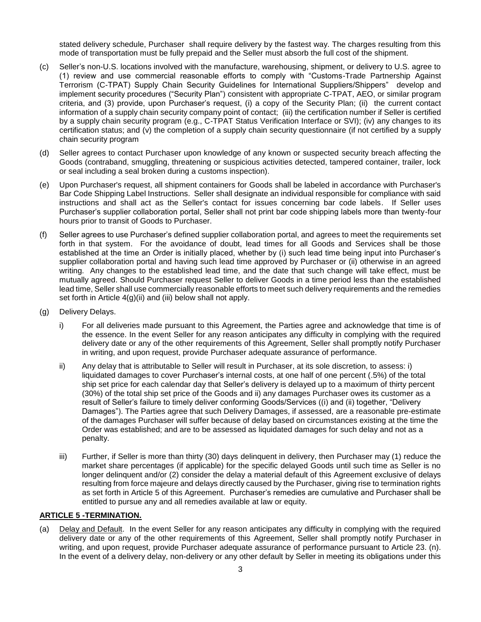stated delivery schedule, Purchaser shall require delivery by the fastest way. The charges resulting from this mode of transportation must be fully prepaid and the Seller must absorb the full cost of the shipment.

- (c) Seller's non-U.S. locations involved with the manufacture, warehousing, shipment, or delivery to U.S. agree to (1) review and use commercial reasonable efforts to comply with "Customs-Trade Partnership Against Terrorism (C-TPAT) Supply Chain Security Guidelines for International Suppliers/Shippers" develop and implement security procedures ("Security Plan") consistent with appropriate C-TPAT, AEO, or similar program criteria, and (3) provide, upon Purchaser's request, (i) a copy of the Security Plan; (ii) the current contact information of a supply chain security company point of contact; (iii) the certification number if Seller is certified by a supply chain security program (e.g., C-TPAT Status Verification Interface or SVI); (iv) any changes to its certification status; and (v) the completion of a supply chain security questionnaire (if not certified by a supply chain security program
- (d) Seller agrees to contact Purchaser upon knowledge of any known or suspected security breach affecting the Goods (contraband, smuggling, threatening or suspicious activities detected, tampered container, trailer, lock or seal including a seal broken during a customs inspection).
- (e) Upon Purchaser's request, all shipment containers for Goods shall be labeled in accordance with Purchaser's Bar Code Shipping Label Instructions. Seller shall designate an individual responsible for compliance with said instructions and shall act as the Seller's contact for issues concerning bar code labels. If Seller uses Purchaser's supplier collaboration portal, Seller shall not print bar code shipping labels more than twenty-four hours prior to transit of Goods to Purchaser.
- (f) Seller agrees to use Purchaser's defined supplier collaboration portal, and agrees to meet the requirements set forth in that system. For the avoidance of doubt, lead times for all Goods and Services shall be those established at the time an Order is initially placed, whether by (i) such lead time being input into Purchaser's supplier collaboration portal and having such lead time approved by Purchaser or (ii) otherwise in an agreed writing. Any changes to the established lead time, and the date that such change will take effect, must be mutually agreed. Should Purchaser request Seller to deliver Goods in a time period less than the established lead time, Seller shall use commercially reasonable efforts to meet such delivery requirements and the remedies set forth in Article 4(g)(ii) and (iii) below shall not apply.
- (g) Delivery Delays.
	- i) For all deliveries made pursuant to this Agreement, the Parties agree and acknowledge that time is of the essence. In the event Seller for any reason anticipates any difficulty in complying with the required delivery date or any of the other requirements of this Agreement, Seller shall promptly notify Purchaser in writing, and upon request, provide Purchaser adequate assurance of performance.
	- ii) Any delay that is attributable to Seller will result in Purchaser, at its sole discretion, to assess: i) liquidated damages to cover Purchaser's internal costs, at one half of one percent (.5%) of the total ship set price for each calendar day that Seller's delivery is delayed up to a maximum of thirty percent (30%) of the total ship set price of the Goods and ii) any damages Purchaser owes its customer as a result of Seller's failure to timely deliver conforming Goods/Services ((i) and (ii) together, "Delivery Damages"). The Parties agree that such Delivery Damages, if assessed, are a reasonable pre-estimate of the damages Purchaser will suffer because of delay based on circumstances existing at the time the Order was established; and are to be assessed as liquidated damages for such delay and not as a penalty.
	- iii) Further, if Seller is more than thirty (30) days delinquent in delivery, then Purchaser may (1) reduce the market share percentages (if applicable) for the specific delayed Goods until such time as Seller is no longer delinquent and/or (2) consider the delay a material default of this Agreement exclusive of delays resulting from force majeure and delays directly caused by the Purchaser, giving rise to termination rights as set forth in Article 5 of this Agreement. Purchaser's remedies are cumulative and Purchaser shall be entitled to pursue any and all remedies available at law or equity.

## **ARTICLE 5 -TERMINATION.**

(a) Delay and Default. In the event Seller for any reason anticipates any difficulty in complying with the required delivery date or any of the other requirements of this Agreement, Seller shall promptly notify Purchaser in writing, and upon request, provide Purchaser adequate assurance of performance pursuant to Article 23. (n). In the event of a delivery delay, non-delivery or any other default by Seller in meeting its obligations under this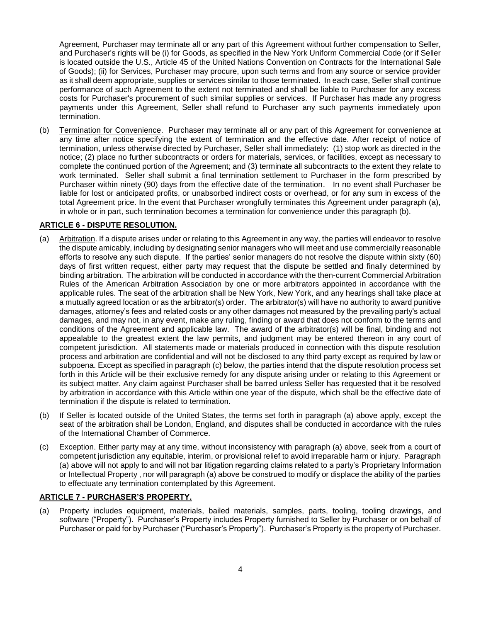Agreement, Purchaser may terminate all or any part of this Agreement without further compensation to Seller, and Purchaser's rights will be (i) for Goods, as specified in the New York Uniform Commercial Code (or if Seller is located outside the U.S., Article 45 of the United Nations Convention on Contracts for the International Sale of Goods); (ii) for Services, Purchaser may procure, upon such terms and from any source or service provider as it shall deem appropriate, supplies or services similar to those terminated. In each case, Seller shall continue performance of such Agreement to the extent not terminated and shall be liable to Purchaser for any excess costs for Purchaser's procurement of such similar supplies or services. If Purchaser has made any progress payments under this Agreement, Seller shall refund to Purchaser any such payments immediately upon termination.

(b) Termination for Convenience. Purchaser may terminate all or any part of this Agreement for convenience at any time after notice specifying the extent of termination and the effective date. After receipt of notice of termination, unless otherwise directed by Purchaser, Seller shall immediately: (1) stop work as directed in the notice; (2) place no further subcontracts or orders for materials, services, or facilities, except as necessary to complete the continued portion of the Agreement; and (3) terminate all subcontracts to the extent they relate to work terminated. Seller shall submit a final termination settlement to Purchaser in the form prescribed by Purchaser within ninety (90) days from the effective date of the termination. In no event shall Purchaser be liable for lost or anticipated profits, or unabsorbed indirect costs or overhead, or for any sum in excess of the total Agreement price. In the event that Purchaser wrongfully terminates this Agreement under paragraph (a), in whole or in part, such termination becomes a termination for convenience under this paragraph (b).

## **ARTICLE 6 - DISPUTE RESOLUTION.**

- (a) Arbitration. If a dispute arises under or relating to this Agreement in any way, the parties will endeavor to resolve the dispute amicably, including by designating senior managers who will meet and use commercially reasonable efforts to resolve any such dispute. If the parties' senior managers do not resolve the dispute within sixty (60) days of first written request, either party may request that the dispute be settled and finally determined by binding arbitration. The arbitration will be conducted in accordance with the then-current Commercial Arbitration Rules of the American Arbitration Association by one or more arbitrators appointed in accordance with the applicable rules. The seat of the arbitration shall be New York, New York, and any hearings shall take place at a mutually agreed location or as the arbitrator(s) order. The arbitrator(s) will have no authority to award punitive damages, attorney's fees and related costs or any other damages not measured by the prevailing party's actual damages, and may not, in any event, make any ruling, finding or award that does not conform to the terms and conditions of the Agreement and applicable law. The award of the arbitrator(s) will be final, binding and not appealable to the greatest extent the law permits, and judgment may be entered thereon in any court of competent jurisdiction. All statements made or materials produced in connection with this dispute resolution process and arbitration are confidential and will not be disclosed to any third party except as required by law or subpoena. Except as specified in paragraph (c) below, the parties intend that the dispute resolution process set forth in this Article will be their exclusive remedy for any dispute arising under or relating to this Agreement or its subject matter. Any claim against Purchaser shall be barred unless Seller has requested that it be resolved by arbitration in accordance with this Article within one year of the dispute, which shall be the effective date of termination if the dispute is related to termination.
- (b) If Seller is located outside of the United States, the terms set forth in paragraph (a) above apply, except the seat of the arbitration shall be London, England, and disputes shall be conducted in accordance with the rules of the International Chamber of Commerce.
- (c) Exception. Either party may at any time, without inconsistency with paragraph (a) above, seek from a court of competent jurisdiction any equitable, interim, or provisional relief to avoid irreparable harm or injury. Paragraph (a) above will not apply to and will not bar litigation regarding claims related to a party's Proprietary Information or Intellectual Property , nor will paragraph (a) above be construed to modify or displace the ability of the parties to effectuate any termination contemplated by this Agreement.

# **ARTICLE 7 - PURCHASER'S PROPERTY.**

(a) Property includes equipment, materials, bailed materials, samples, parts, tooling, tooling drawings, and software ("Property"). Purchaser's Property includes Property furnished to Seller by Purchaser or on behalf of Purchaser or paid for by Purchaser ("Purchaser's Property"). Purchaser's Property is the property of Purchaser.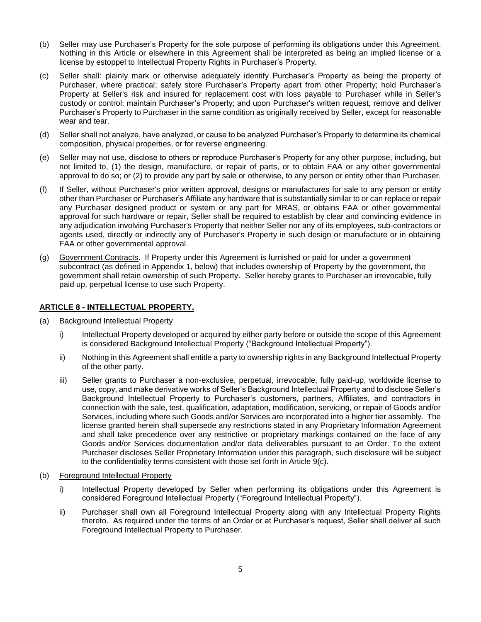- (b) Seller may use Purchaser's Property for the sole purpose of performing its obligations under this Agreement. Nothing in this Article or elsewhere in this Agreement shall be interpreted as being an implied license or a license by estoppel to Intellectual Property Rights in Purchaser's Property.
- (c) Seller shall: plainly mark or otherwise adequately identify Purchaser's Property as being the property of Purchaser, where practical; safely store Purchaser's Property apart from other Property; hold Purchaser's Property at Seller's risk and insured for replacement cost with loss payable to Purchaser while in Seller's custody or control; maintain Purchaser's Property; and upon Purchaser's written request, remove and deliver Purchaser's Property to Purchaser in the same condition as originally received by Seller, except for reasonable wear and tear.
- (d) Seller shall not analyze, have analyzed, or cause to be analyzed Purchaser's Property to determine its chemical composition, physical properties, or for reverse engineering.
- (e) Seller may not use, disclose to others or reproduce Purchaser's Property for any other purpose, including, but not limited to, (1) the design, manufacture, or repair of parts, or to obtain FAA or any other governmental approval to do so; or (2) to provide any part by sale or otherwise, to any person or entity other than Purchaser.
- (f) If Seller, without Purchaser's prior written approval, designs or manufactures for sale to any person or entity other than Purchaser or Purchaser's Affiliate any hardware that is substantially similar to or can replace or repair any Purchaser designed product or system or any part for MRAS, or obtains FAA or other governmental approval for such hardware or repair, Seller shall be required to establish by clear and convincing evidence in any adjudication involving Purchaser's Property that neither Seller nor any of its employees, sub-contractors or agents used, directly or indirectly any of Purchaser's Property in such design or manufacture or in obtaining FAA or other governmental approval.
- (g) Government Contracts. If Property under this Agreement is furnished or paid for under a government subcontract (as defined in Appendix 1, below) that includes ownership of Property by the government, the government shall retain ownership of such Property. Seller hereby grants to Purchaser an irrevocable, fully paid up, perpetual license to use such Property.

# **ARTICLE 8 - INTELLECTUAL PROPERTY.**

- (a) Background Intellectual Property
	- i) Intellectual Property developed or acquired by either party before or outside the scope of this Agreement is considered Background Intellectual Property ("Background Intellectual Property").
	- ii) Nothing in this Agreement shall entitle a party to ownership rights in any Background Intellectual Property of the other party.
	- iii) Seller grants to Purchaser a non-exclusive, perpetual, irrevocable, fully paid-up, worldwide license to use, copy, and make derivative works of Seller's Background Intellectual Property and to disclose Seller's Background Intellectual Property to Purchaser's customers, partners, Affiliates, and contractors in connection with the sale, test, qualification, adaptation, modification, servicing, or repair of Goods and/or Services, including where such Goods and/or Services are incorporated into a higher tier assembly. The license granted herein shall supersede any restrictions stated in any Proprietary Information Agreement and shall take precedence over any restrictive or proprietary markings contained on the face of any Goods and/or Services documentation and/or data deliverables pursuant to an Order. To the extent Purchaser discloses Seller Proprietary Information under this paragraph, such disclosure will be subject to the confidentiality terms consistent with those set forth in Article 9(c).
- (b) Foreground Intellectual Property
	- i) Intellectual Property developed by Seller when performing its obligations under this Agreement is considered Foreground Intellectual Property ("Foreground Intellectual Property").
	- ii) Purchaser shall own all Foreground Intellectual Property along with any Intellectual Property Rights thereto. As required under the terms of an Order or at Purchaser's request, Seller shall deliver all such Foreground Intellectual Property to Purchaser.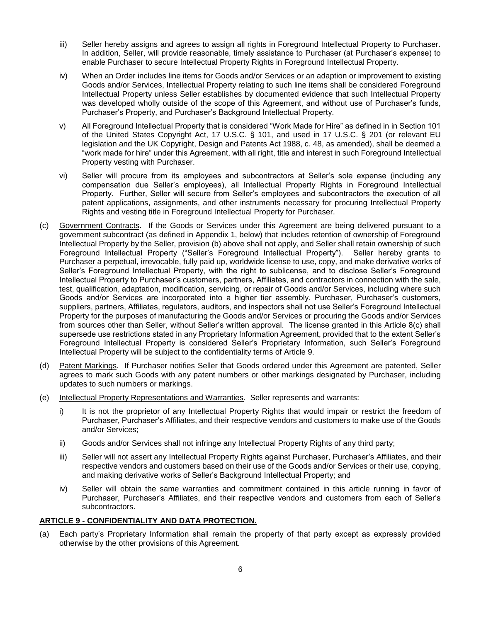- iii) Seller hereby assigns and agrees to assign all rights in Foreground Intellectual Property to Purchaser. In addition, Seller, will provide reasonable, timely assistance to Purchaser (at Purchaser's expense) to enable Purchaser to secure Intellectual Property Rights in Foreground Intellectual Property.
- iv) When an Order includes line items for Goods and/or Services or an adaption or improvement to existing Goods and/or Services, Intellectual Property relating to such line items shall be considered Foreground Intellectual Property unless Seller establishes by documented evidence that such Intellectual Property was developed wholly outside of the scope of this Agreement, and without use of Purchaser's funds, Purchaser's Property, and Purchaser's Background Intellectual Property.
- v) All Foreground Intellectual Property that is considered "Work Made for Hire" as defined in in Section 101 of the United States Copyright Act, 17 U.S.C. § 101, and used in 17 U.S.C. § 201 (or relevant EU legislation and the UK Copyright, Design and Patents Act 1988, c. 48, as amended), shall be deemed a "work made for hire" under this Agreement, with all right, title and interest in such Foreground Intellectual Property vesting with Purchaser.
- vi) Seller will procure from its employees and subcontractors at Seller's sole expense (including any compensation due Seller's employees), all Intellectual Property Rights in Foreground Intellectual Property. Further, Seller will secure from Seller's employees and subcontractors the execution of all patent applications, assignments, and other instruments necessary for procuring Intellectual Property Rights and vesting title in Foreground Intellectual Property for Purchaser.
- (c) Government Contracts. If the Goods or Services under this Agreement are being delivered pursuant to a government subcontract (as defined in Appendix 1, below) that includes retention of ownership of Foreground Intellectual Property by the Seller, provision (b) above shall not apply, and Seller shall retain ownership of such Foreground Intellectual Property ("Seller's Foreground Intellectual Property"). Seller hereby grants to Purchaser a perpetual, irrevocable, fully paid up, worldwide license to use, copy, and make derivative works of Seller's Foreground Intellectual Property, with the right to sublicense, and to disclose Seller's Foreground Intellectual Property to Purchaser's customers, partners, Affiliates, and contractors in connection with the sale, test, qualification, adaptation, modification, servicing, or repair of Goods and/or Services, including where such Goods and/or Services are incorporated into a higher tier assembly. Purchaser, Purchaser's customers, suppliers, partners, Affiliates, regulators, auditors, and inspectors shall not use Seller's Foreground Intellectual Property for the purposes of manufacturing the Goods and/or Services or procuring the Goods and/or Services from sources other than Seller, without Seller's written approval. The license granted in this Article 8(c) shall supersede use restrictions stated in any Proprietary Information Agreement, provided that to the extent Seller's Foreground Intellectual Property is considered Seller's Proprietary Information, such Seller's Foreground Intellectual Property will be subject to the confidentiality terms of Article 9.
- (d) Patent Markings. If Purchaser notifies Seller that Goods ordered under this Agreement are patented, Seller agrees to mark such Goods with any patent numbers or other markings designated by Purchaser, including updates to such numbers or markings.
- (e) Intellectual Property Representations and Warranties. Seller represents and warrants:
	- i) It is not the proprietor of any Intellectual Property Rights that would impair or restrict the freedom of Purchaser, Purchaser's Affiliates, and their respective vendors and customers to make use of the Goods and/or Services;
	- ii) Goods and/or Services shall not infringe any Intellectual Property Rights of any third party;
	- iii) Seller will not assert any Intellectual Property Rights against Purchaser, Purchaser's Affiliates, and their respective vendors and customers based on their use of the Goods and/or Services or their use, copying, and making derivative works of Seller's Background Intellectual Property; and
	- iv) Seller will obtain the same warranties and commitment contained in this article running in favor of Purchaser, Purchaser's Affiliates, and their respective vendors and customers from each of Seller's subcontractors.

## **ARTICLE 9 - CONFIDENTIALITY AND DATA PROTECTION.**

(a) Each party's Proprietary Information shall remain the property of that party except as expressly provided otherwise by the other provisions of this Agreement.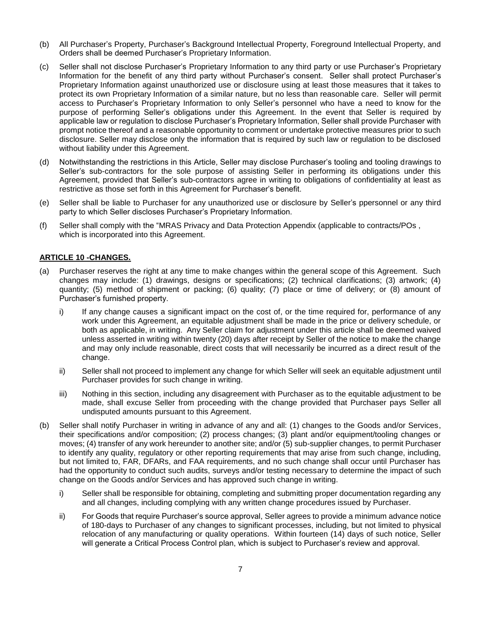- (b) All Purchaser's Property, Purchaser's Background Intellectual Property, Foreground Intellectual Property, and Orders shall be deemed Purchaser's Proprietary Information.
- (c) Seller shall not disclose Purchaser's Proprietary Information to any third party or use Purchaser's Proprietary Information for the benefit of any third party without Purchaser's consent. Seller shall protect Purchaser's Proprietary Information against unauthorized use or disclosure using at least those measures that it takes to protect its own Proprietary Information of a similar nature, but no less than reasonable care. Seller will permit access to Purchaser's Proprietary Information to only Seller's personnel who have a need to know for the purpose of performing Seller's obligations under this Agreement. In the event that Seller is required by applicable law or regulation to disclose Purchaser's Proprietary Information, Seller shall provide Purchaser with prompt notice thereof and a reasonable opportunity to comment or undertake protective measures prior to such disclosure. Seller may disclose only the information that is required by such law or regulation to be disclosed without liability under this Agreement.
- (d) Notwithstanding the restrictions in this Article, Seller may disclose Purchaser's tooling and tooling drawings to Seller's sub-contractors for the sole purpose of assisting Seller in performing its obligations under this Agreement, provided that Seller's sub-contractors agree in writing to obligations of confidentiality at least as restrictive as those set forth in this Agreement for Purchaser's benefit.
- (e) Seller shall be liable to Purchaser for any unauthorized use or disclosure by Seller's ppersonnel or any third party to which Seller discloses Purchaser's Proprietary Information.
- (f) Seller shall comply with the "MRAS Privacy and Data Protection Appendix (applicable to contracts/POs , which is incorporated into this Agreement.

## **ARTICLE 10 -CHANGES.**

- (a) Purchaser reserves the right at any time to make changes within the general scope of this Agreement. Such changes may include: (1) drawings, designs or specifications; (2) technical clarifications; (3) artwork; (4) quantity; (5) method of shipment or packing; (6) quality; (7) place or time of delivery; or (8) amount of Purchaser's furnished property.
	- i) If any change causes a significant impact on the cost of, or the time required for, performance of any work under this Agreement, an equitable adjustment shall be made in the price or delivery schedule, or both as applicable, in writing. Any Seller claim for adjustment under this article shall be deemed waived unless asserted in writing within twenty (20) days after receipt by Seller of the notice to make the change and may only include reasonable, direct costs that will necessarily be incurred as a direct result of the change.
	- ii) Seller shall not proceed to implement any change for which Seller will seek an equitable adjustment until Purchaser provides for such change in writing.
	- iii) Nothing in this section, including any disagreement with Purchaser as to the equitable adjustment to be made, shall excuse Seller from proceeding with the change provided that Purchaser pays Seller all undisputed amounts pursuant to this Agreement.
- (b) Seller shall notify Purchaser in writing in advance of any and all: (1) changes to the Goods and/or Services, their specifications and/or composition; (2) process changes; (3) plant and/or equipment/tooling changes or moves; (4) transfer of any work hereunder to another site; and/or (5) sub-supplier changes, to permit Purchaser to identify any quality, regulatory or other reporting requirements that may arise from such change, including, but not limited to, FAR, DFARs, and FAA requirements, and no such change shall occur until Purchaser has had the opportunity to conduct such audits, surveys and/or testing necessary to determine the impact of such change on the Goods and/or Services and has approved such change in writing.
	- i) Seller shall be responsible for obtaining, completing and submitting proper documentation regarding any and all changes, including complying with any written change procedures issued by Purchaser.
	- ii) For Goods that require Purchaser's source approval, Seller agrees to provide a minimum advance notice of 180-days to Purchaser of any changes to significant processes, including, but not limited to physical relocation of any manufacturing or quality operations. Within fourteen (14) days of such notice, Seller will generate a Critical Process Control plan, which is subject to Purchaser's review and approval.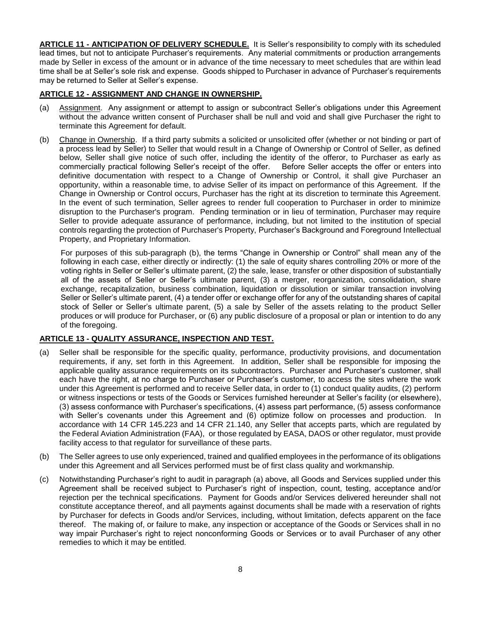**ARTICLE 11 - ANTICIPATION OF DELIVERY SCHEDULE.** It is Seller's responsibility to comply with its scheduled lead times, but not to anticipate Purchaser's requirements. Any material commitments or production arrangements made by Seller in excess of the amount or in advance of the time necessary to meet schedules that are within lead time shall be at Seller's sole risk and expense. Goods shipped to Purchaser in advance of Purchaser's requirements may be returned to Seller at Seller's expense.

## **ARTICLE 12 - ASSIGNMENT AND CHANGE IN OWNERSHIP.**

- (a) Assignment. Any assignment or attempt to assign or subcontract Seller's obligations under this Agreement without the advance written consent of Purchaser shall be null and void and shall give Purchaser the right to terminate this Agreement for default.
- (b) Change in Ownership. If a third party submits a solicited or unsolicited offer (whether or not binding or part of a process lead by Seller) to Seller that would result in a Change of Ownership or Control of Seller, as defined below, Seller shall give notice of such offer, including the identity of the offeror, to Purchaser as early as commercially practical following Seller's receipt of the offer. Before Seller accepts the offer or enters into definitive documentation with respect to a Change of Ownership or Control, it shall give Purchaser an opportunity, within a reasonable time, to advise Seller of its impact on performance of this Agreement. If the Change in Ownership or Control occurs, Purchaser has the right at its discretion to terminate this Agreement. In the event of such termination, Seller agrees to render full cooperation to Purchaser in order to minimize disruption to the Purchaser's program. Pending termination or in lieu of termination, Purchaser may require Seller to provide adequate assurance of performance, including, but not limited to the institution of special controls regarding the protection of Purchaser's Property, Purchaser's Background and Foreground Intellectual Property, and Proprietary Information.

For purposes of this sub-paragraph (b), the terms "Change in Ownership or Control" shall mean any of the following in each case, either directly or indirectly: (1) the sale of equity shares controlling 20% or more of the voting rights in Seller or Seller's ultimate parent, (2) the sale, lease, transfer or other disposition of substantially all of the assets of Seller or Seller's ultimate parent, (3) a merger, reorganization, consolidation, share exchange, recapitalization, business combination, liquidation or dissolution or similar transaction involving Seller or Seller's ultimate parent, (4) a tender offer or exchange offer for any of the outstanding shares of capital stock of Seller or Seller's ultimate parent, (5) a sale by Seller of the assets relating to the product Seller produces or will produce for Purchaser, or (6) any public disclosure of a proposal or plan or intention to do any of the foregoing.

# **ARTICLE 13 - QUALITY ASSURANCE, INSPECTION AND TEST.**

- (a) Seller shall be responsible for the specific quality, performance, productivity provisions, and documentation requirements, if any, set forth in this Agreement. In addition, Seller shall be responsible for imposing the applicable quality assurance requirements on its subcontractors. Purchaser and Purchaser's customer, shall each have the right, at no charge to Purchaser or Purchaser's customer, to access the sites where the work under this Agreement is performed and to receive Seller data, in order to (1) conduct quality audits, (2) perform or witness inspections or tests of the Goods or Services furnished hereunder at Seller's facility (or elsewhere), (3) assess conformance with Purchaser's specifications, (4) assess part performance, (5) assess conformance with Seller's covenants under this Agreement and (6) optimize follow on processes and production. In accordance with 14 CFR 145.223 and 14 CFR 21.140, any Seller that accepts parts, which are regulated by the Federal Aviation Administration (FAA), or those regulated by EASA, DAOS or other regulator, must provide facility access to that regulator for surveillance of these parts.
- (b) The Seller agrees to use only experienced, trained and qualified employees in the performance of its obligations under this Agreement and all Services performed must be of first class quality and workmanship.
- (c) Notwithstanding Purchaser's right to audit in paragraph (a) above, all Goods and Services supplied under this Agreement shall be received subject to Purchaser's right of inspection, count, testing, acceptance and/or rejection per the technical specifications. Payment for Goods and/or Services delivered hereunder shall not constitute acceptance thereof, and all payments against documents shall be made with a reservation of rights by Purchaser for defects in Goods and/or Services, including, without limitation, defects apparent on the face thereof. The making of, or failure to make, any inspection or acceptance of the Goods or Services shall in no way impair Purchaser's right to reject nonconforming Goods or Services or to avail Purchaser of any other remedies to which it may be entitled.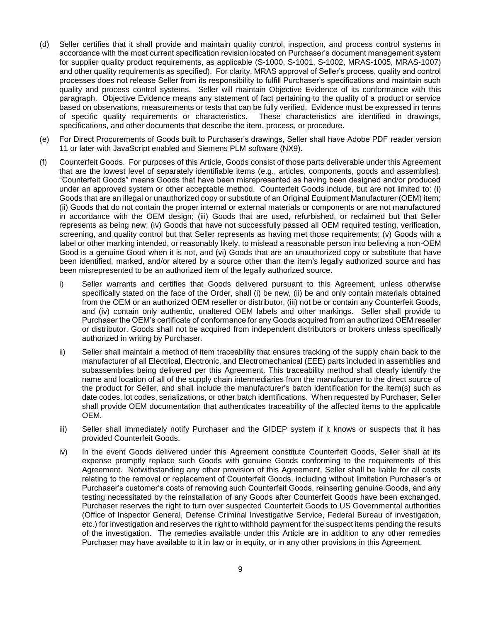- (d) Seller certifies that it shall provide and maintain quality control, inspection, and process control systems in accordance with the most current specification revision located on Purchaser's document management system for supplier quality product requirements, as applicable (S-1000, S-1001, S-1002, MRAS-1005, MRAS-1007) and other quality requirements as specified). For clarity, MRAS approval of Seller's process, quality and control processes does not release Seller from its responsibility to fulfill Purchaser's specifications and maintain such quality and process control systems. Seller will maintain Objective Evidence of its conformance with this paragraph. Objective Evidence means any statement of fact pertaining to the quality of a product or service based on observations, measurements or tests that can be fully verified. Evidence must be expressed in terms of specific quality requirements or characteristics. These characteristics are identified in drawings, specifications, and other documents that describe the item, process, or procedure.
- (e) For Direct Procurements of Goods built to Purchaser's drawings, Seller shall have Adobe PDF reader version 11 or later with JavaScript enabled and Siemens PLM software (NX9).
- (f) Counterfeit Goods. For purposes of this Article, Goods consist of those parts deliverable under this Agreement that are the lowest level of separately identifiable items (e.g., articles, components, goods and assemblies). "Counterfeit Goods" means Goods that have been misrepresented as having been designed and/or produced under an approved system or other acceptable method. Counterfeit Goods include, but are not limited to: (i) Goods that are an illegal or unauthorized copy or substitute of an Original Equipment Manufacturer (OEM) item; (ii) Goods that do not contain the proper internal or external materials or components or are not manufactured in accordance with the OEM design; (iii) Goods that are used, refurbished, or reclaimed but that Seller represents as being new; (iv) Goods that have not successfully passed all OEM required testing, verification, screening, and quality control but that Seller represents as having met those requirements; (v) Goods with a label or other marking intended, or reasonably likely, to mislead a reasonable person into believing a non-OEM Good is a genuine Good when it is not, and (vi) Goods that are an unauthorized copy or substitute that have been identified, marked, and/or altered by a source other than the item's legally authorized source and has been misrepresented to be an authorized item of the legally authorized source.
	- i) Seller warrants and certifies that Goods delivered pursuant to this Agreement, unless otherwise specifically stated on the face of the Order, shall (i) be new, (ii) be and only contain materials obtained from the OEM or an authorized OEM reseller or distributor, (iii) not be or contain any Counterfeit Goods, and (iv) contain only authentic, unaltered OEM labels and other markings. Seller shall provide to Purchaser the OEM's certificate of conformance for any Goods acquired from an authorized OEM reseller or distributor. Goods shall not be acquired from independent distributors or brokers unless specifically authorized in writing by Purchaser.
	- ii) Seller shall maintain a method of item traceability that ensures tracking of the supply chain back to the manufacturer of all Electrical, Electronic, and Electromechanical (EEE) parts included in assemblies and subassemblies being delivered per this Agreement. This traceability method shall clearly identify the name and location of all of the supply chain intermediaries from the manufacturer to the direct source of the product for Seller, and shall include the manufacturer's batch identification for the item(s) such as date codes, lot codes, serializations, or other batch identifications. When requested by Purchaser, Seller shall provide OEM documentation that authenticates traceability of the affected items to the applicable OEM.
	- iii) Seller shall immediately notify Purchaser and the GIDEP system if it knows or suspects that it has provided Counterfeit Goods.
	- iv) In the event Goods delivered under this Agreement constitute Counterfeit Goods, Seller shall at its expense promptly replace such Goods with genuine Goods conforming to the requirements of this Agreement. Notwithstanding any other provision of this Agreement, Seller shall be liable for all costs relating to the removal or replacement of Counterfeit Goods, including without limitation Purchaser's or Purchaser's customer's costs of removing such Counterfeit Goods, reinserting genuine Goods, and any testing necessitated by the reinstallation of any Goods after Counterfeit Goods have been exchanged. Purchaser reserves the right to turn over suspected Counterfeit Goods to US Governmental authorities (Office of Inspector General, Defense Criminal Investigative Service, Federal Bureau of investigation, etc.) for investigation and reserves the right to withhold payment for the suspect items pending the results of the investigation. The remedies available under this Article are in addition to any other remedies Purchaser may have available to it in law or in equity, or in any other provisions in this Agreement.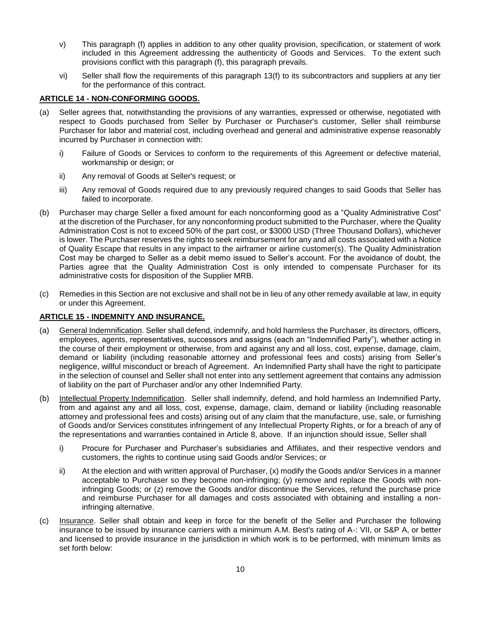- v) This paragraph (f) applies in addition to any other quality provision, specification, or statement of work included in this Agreement addressing the authenticity of Goods and Services. To the extent such provisions conflict with this paragraph (f), this paragraph prevails.
- vi) Seller shall flow the requirements of this paragraph 13(f) to its subcontractors and suppliers at any tier for the performance of this contract.

## **ARTICLE 14 - NON-CONFORMING GOODS.**

- (a) Seller agrees that, notwithstanding the provisions of any warranties, expressed or otherwise, negotiated with respect to Goods purchased from Seller by Purchaser or Purchaser's customer, Seller shall reimburse Purchaser for labor and material cost, including overhead and general and administrative expense reasonably incurred by Purchaser in connection with:
	- i) Failure of Goods or Services to conform to the requirements of this Agreement or defective material, workmanship or design; or
	- ii) Any removal of Goods at Seller's request; or
	- iii) Any removal of Goods required due to any previously required changes to said Goods that Seller has failed to incorporate.
- (b) Purchaser may charge Seller a fixed amount for each nonconforming good as a "Quality Administrative Cost" at the discretion of the Purchaser, for any nonconforming product submitted to the Purchaser, where the Quality Administration Cost is not to exceed 50% of the part cost, or \$3000 USD (Three Thousand Dollars), whichever is lower. The Purchaser reserves the rights to seek reimbursement for any and all costs associated with a Notice of Quality Escape that results in any impact to the airframer or airline customer(s). The Quality Administration Cost may be charged to Seller as a debit memo issued to Seller's account. For the avoidance of doubt, the Parties agree that the Quality Administration Cost is only intended to compensate Purchaser for its administrative costs for disposition of the Supplier MRB.
- (c) Remedies in this Section are not exclusive and shall not be in lieu of any other remedy available at law, in equity or under this Agreement.

#### **ARTICLE 15 - INDEMNITY AND INSURANCE.**

- (a) General Indemnification. Seller shall defend, indemnify, and hold harmless the Purchaser, its directors, officers, employees, agents, representatives, successors and assigns (each an "Indemnified Party"), whether acting in the course of their employment or otherwise, from and against any and all loss, cost, expense, damage, claim, demand or liability (including reasonable attorney and professional fees and costs) arising from Seller's negligence, willful misconduct or breach of Agreement. An Indemnified Party shall have the right to participate in the selection of counsel and Seller shall not enter into any settlement agreement that contains any admission of liability on the part of Purchaser and/or any other Indemnified Party.
- (b) Intellectual Property Indemnification. Seller shall indemnify, defend, and hold harmless an Indemnified Party, from and against any and all loss, cost, expense, damage, claim, demand or liability (including reasonable attorney and professional fees and costs) arising out of any claim that the manufacture, use, sale, or furnishing of Goods and/or Services constitutes infringement of any Intellectual Property Rights, or for a breach of any of the representations and warranties contained in Article 8, above. If an injunction should issue, Seller shall
	- i) Procure for Purchaser and Purchaser's subsidiaries and Affiliates, and their respective vendors and customers, the rights to continue using said Goods and/or Services; or
	- ii) At the election and with written approval of Purchaser, (x) modify the Goods and/or Services in a manner acceptable to Purchaser so they become non-infringing; (y) remove and replace the Goods with noninfringing Goods; or (z) remove the Goods and/or discontinue the Services, refund the purchase price and reimburse Purchaser for all damages and costs associated with obtaining and installing a noninfringing alternative.
- (c) Insurance. Seller shall obtain and keep in force for the benefit of the Seller and Purchaser the following insurance to be issued by insurance carriers with a minimum A.M. Best's rating of A-: VII, or S&P A, or better and licensed to provide insurance in the jurisdiction in which work is to be performed, with minimum limits as set forth below: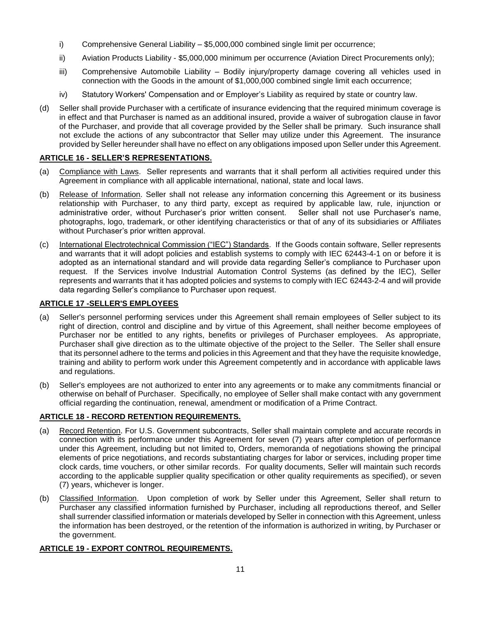- i) Comprehensive General Liability \$5,000,000 combined single limit per occurrence;
- ii) Aviation Products Liability \$5,000,000 minimum per occurrence (Aviation Direct Procurements only);
- iii) Comprehensive Automobile Liability Bodily injury/property damage covering all vehicles used in connection with the Goods in the amount of \$1,000,000 combined single limit each occurrence;
- iv) Statutory Workers' Compensation and or Employer's Liability as required by state or country law.
- (d) Seller shall provide Purchaser with a certificate of insurance evidencing that the required minimum coverage is in effect and that Purchaser is named as an additional insured, provide a waiver of subrogation clause in favor of the Purchaser, and provide that all coverage provided by the Seller shall be primary. Such insurance shall not exclude the actions of any subcontractor that Seller may utilize under this Agreement. The insurance provided by Seller hereunder shall have no effect on any obligations imposed upon Seller under this Agreement.

## **ARTICLE 16 - SELLER'S REPRESENTATIONS.**

- (a) Compliance with Laws. Seller represents and warrants that it shall perform all activities required under this Agreement in compliance with all applicable international, national, state and local laws.
- (b) Release of Information. Seller shall not release any information concerning this Agreement or its business relationship with Purchaser, to any third party, except as required by applicable law, rule, injunction or administrative order, without Purchaser's prior written consent. Seller shall not use Purchaser's name, photographs, logo, trademark, or other identifying characteristics or that of any of its subsidiaries or Affiliates without Purchaser's prior written approval.
- (c) International Electrotechnical Commission ("IEC") Standards. If the Goods contain software, Seller represents and warrants that it will adopt policies and establish systems to comply with IEC [62443-4-1](tel:62443-4-1) on or before it is adopted as an international standard and will provide data regarding Seller's compliance to Purchaser upon request. If the Services involve Industrial Automation Control Systems (as defined by the IEC), Seller represents and warrants that it has adopted policies and systems to comply with IEC [62443-2-4](tel:62443-2-4) and will provide data regarding Seller's compliance to Purchaser upon request.

## **ARTICLE 17 -SELLER'S EMPLOYEES**

- (a) Seller's personnel performing services under this Agreement shall remain employees of Seller subject to its right of direction, control and discipline and by virtue of this Agreement, shall neither become employees of Purchaser nor be entitled to any rights, benefits or privileges of Purchaser employees. As appropriate, Purchaser shall give direction as to the ultimate objective of the project to the Seller. The Seller shall ensure that its personnel adhere to the terms and policies in this Agreement and that they have the requisite knowledge, training and ability to perform work under this Agreement competently and in accordance with applicable laws and regulations.
- (b) Seller's employees are not authorized to enter into any agreements or to make any commitments financial or otherwise on behalf of Purchaser. Specifically, no employee of Seller shall make contact with any government official regarding the continuation, renewal, amendment or modification of a Prime Contract.

# **ARTICLE 18 - RECORD RETENTION REQUIREMENTS.**

- (a) Record Retention. For U.S. Government subcontracts, Seller shall maintain complete and accurate records in connection with its performance under this Agreement for seven (7) years after completion of performance under this Agreement, including but not limited to, Orders, memoranda of negotiations showing the principal elements of price negotiations, and records substantiating charges for labor or services, including proper time clock cards, time vouchers, or other similar records. For quality documents, Seller will maintain such records according to the applicable supplier quality specification or other quality requirements as specified), or seven (7) years, whichever is longer.
- (b) Classified Information. Upon completion of work by Seller under this Agreement, Seller shall return to Purchaser any classified information furnished by Purchaser, including all reproductions thereof, and Seller shall surrender classified information or materials developed by Seller in connection with this Agreement, unless the information has been destroyed, or the retention of the information is authorized in writing, by Purchaser or the government.

# **ARTICLE 19 - EXPORT CONTROL REQUIREMENTS.**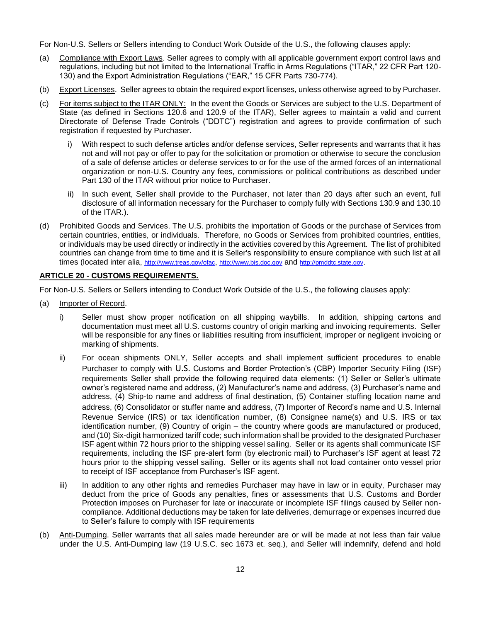For Non-U.S. Sellers or Sellers intending to Conduct Work Outside of the U.S., the following clauses apply:

- (a) Compliance with Export Laws. Seller agrees to comply with all applicable government export control laws and regulations, including but not limited to the International Traffic in Arms Regulations ("ITAR," 22 CFR Part 120- 130) and the Export Administration Regulations ("EAR," 15 CFR Parts 730-774).
- (b) Export Licenses. Seller agrees to obtain the required export licenses, unless otherwise agreed to by Purchaser.
- (c) For items subject to the ITAR ONLY: In the event the Goods or Services are subject to the U.S. Department of State (as defined in Sections 120.6 and 120.9 of the ITAR), Seller agrees to maintain a valid and current Directorate of Defense Trade Controls ("DDTC") registration and agrees to provide confirmation of such registration if requested by Purchaser.
	- i) With respect to such defense articles and/or defense services, Seller represents and warrants that it has not and will not pay or offer to pay for the solicitation or promotion or otherwise to secure the conclusion of a sale of defense articles or defense services to or for the use of the armed forces of an international organization or non-U.S. Country any fees, commissions or political contributions as described under Part 130 of the ITAR without prior notice to Purchaser.
	- ii) In such event, Seller shall provide to the Purchaser, not later than 20 days after such an event, full disclosure of all information necessary for the Purchaser to comply fully with Sections 130.9 and 130.10 of the ITAR.).
- (d) Prohibited Goods and Services. The U.S. prohibits the importation of Goods or the purchase of Services from certain countries, entities, or individuals. Therefore, no Goods or Services from prohibited countries, entities, or individuals may be used directly or indirectly in the activities covered by this Agreement. The list of prohibited countries can change from time to time and it is Seller's responsibility to ensure compliance with such list at all times (located inter alia, <http://www.treas.gov/ofac>, [http://www.bis.doc.gov](http://www.bis.doc.gov/) and [http://pmddtc.state.gov](http://pmddtc.state.gov/).

## **ARTICLE 20 - CUSTOMS REQUIREMENTS.**

For Non-U.S. Sellers or Sellers intending to Conduct Work Outside of the U.S., the following clauses apply:

- (a) Importer of Record.
	- i) Seller must show proper notification on all shipping waybills. In addition, shipping cartons and documentation must meet all U.S. customs country of origin marking and invoicing requirements. Seller will be responsible for any fines or liabilities resulting from insufficient, improper or negligent invoicing or marking of shipments.
	- ii) For ocean shipments ONLY, Seller accepts and shall implement sufficient procedures to enable Purchaser to comply with U.S. Customs and Border Protection's (CBP) Importer Security Filing (ISF) requirements Seller shall provide the following required data elements: (1) Seller or Seller's ultimate owner's registered name and address, (2) Manufacturer's name and address, (3) Purchaser's name and address, (4) Ship-to name and address of final destination, (5) Container stuffing location name and address, (6) Consolidator or stuffer name and address, (7) Importer of Record's name and U.S. Internal Revenue Service (IRS) or tax identification number, (8) Consignee name(s) and U.S. IRS or tax identification number, (9) Country of origin – the country where goods are manufactured or produced, and (10) Six-digit harmonized tariff code; such information shall be provided to the designated Purchaser ISF agent within 72 hours prior to the shipping vessel sailing. Seller or its agents shall communicate ISF requirements, including the ISF pre-alert form (by electronic mail) to Purchaser's ISF agent at least 72 hours prior to the shipping vessel sailing. Seller or its agents shall not load container onto vessel prior to receipt of ISF acceptance from Purchaser's ISF agent.
	- iii) In addition to any other rights and remedies Purchaser may have in law or in equity, Purchaser may deduct from the price of Goods any penalties, fines or assessments that U.S. Customs and Border Protection imposes on Purchaser for late or inaccurate or incomplete ISF filings caused by Seller noncompliance. Additional deductions may be taken for late deliveries, demurrage or expenses incurred due to Seller's failure to comply with ISF requirements
- (b) Anti-Dumping. Seller warrants that all sales made hereunder are or will be made at not less than fair value under the U.S. Anti-Dumping law (19 U.S.C. sec 1673 et. seq.), and Seller will indemnify, defend and hold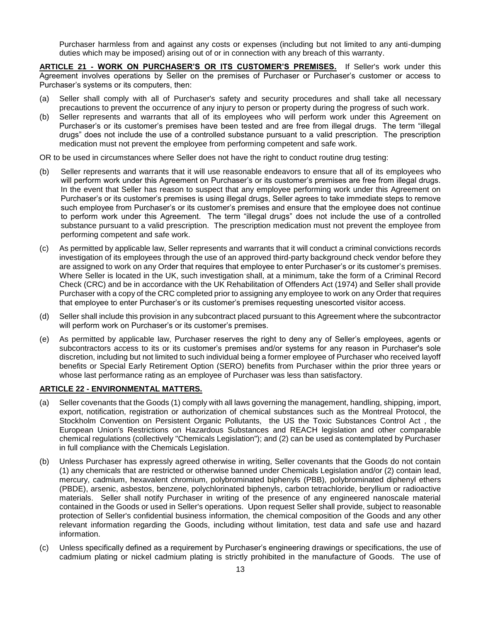Purchaser harmless from and against any costs or expenses (including but not limited to any anti-dumping duties which may be imposed) arising out of or in connection with any breach of this warranty.

**ARTICLE 21 - WORK ON PURCHASER'S OR ITS CUSTOMER'S PREMISES.** If Seller's work under this Agreement involves operations by Seller on the premises of Purchaser or Purchaser's customer or access to Purchaser's systems or its computers, then:

- (a) Seller shall comply with all of Purchaser's safety and security procedures and shall take all necessary precautions to prevent the occurrence of any injury to person or property during the progress of such work.
- (b) Seller represents and warrants that all of its employees who will perform work under this Agreement on Purchaser's or its customer's premises have been tested and are free from illegal drugs. The term "illegal drugs" does not include the use of a controlled substance pursuant to a valid prescription. The prescription medication must not prevent the employee from performing competent and safe work.

OR to be used in circumstances where Seller does not have the right to conduct routine drug testing:

- (b) Seller represents and warrants that it will use reasonable endeavors to ensure that all of its employees who will perform work under this Agreement on Purchaser's or its customer's premises are free from illegal drugs. In the event that Seller has reason to suspect that any employee performing work under this Agreement on Purchaser's or its customer's premises is using illegal drugs, Seller agrees to take immediate steps to remove such employee from Purchaser's or its customer's premises and ensure that the employee does not continue to perform work under this Agreement. The term "illegal drugs" does not include the use of a controlled substance pursuant to a valid prescription. The prescription medication must not prevent the employee from performing competent and safe work.
- (c) As permitted by applicable law, Seller represents and warrants that it will conduct a criminal convictions records investigation of its employees through the use of an approved third-party background check vendor before they are assigned to work on any Order that requires that employee to enter Purchaser's or its customer's premises. Where Seller is located in the UK, such investigation shall, at a minimum, take the form of a Criminal Record Check (CRC) and be in accordance with the UK Rehabilitation of Offenders Act (1974) and Seller shall provide Purchaser with a copy of the CRC completed prior to assigning any employee to work on any Order that requires that employee to enter Purchaser's or its customer's premises requesting unescorted visitor access.
- (d) Seller shall include this provision in any subcontract placed pursuant to this Agreement where the subcontractor will perform work on Purchaser's or its customer's premises.
- (e) As permitted by applicable law, Purchaser reserves the right to deny any of Seller's employees, agents or subcontractors access to its or its customer's premises and/or systems for any reason in Purchaser's sole discretion, including but not limited to such individual being a former employee of Purchaser who received layoff benefits or Special Early Retirement Option (SERO) benefits from Purchaser within the prior three years or whose last performance rating as an employee of Purchaser was less than satisfactory.

# **ARTICLE 22 - ENVIRONMENTAL MATTERS.**

- (a) Seller covenants that the Goods (1) comply with all laws governing the management, handling, shipping, import, export, notification, registration or authorization of chemical substances such as the Montreal Protocol, the Stockholm Convention on Persistent Organic Pollutants, the US the Toxic Substances Control Act , the European Union's Restrictions on Hazardous Substances and REACH legislation and other comparable chemical regulations (collectively "Chemicals Legislation"); and (2) can be used as contemplated by Purchaser in full compliance with the Chemicals Legislation.
- (b) Unless Purchaser has expressly agreed otherwise in writing, Seller covenants that the Goods do not contain (1) any chemicals that are restricted or otherwise banned under Chemicals Legislation and/or (2) contain lead, mercury, cadmium, hexavalent chromium, polybrominated biphenyls (PBB), polybrominated diphenyl ethers (PBDE), arsenic, asbestos, benzene, polychlorinated biphenyls, carbon tetrachloride, beryllium or radioactive materials. Seller shall notify Purchaser in writing of the presence of any engineered nanoscale material contained in the Goods or used in Seller's operations. Upon request Seller shall provide, subject to reasonable protection of Seller's confidential business information, the chemical composition of the Goods and any other relevant information regarding the Goods, including without limitation, test data and safe use and hazard information.
- (c) Unless specifically defined as a requirement by Purchaser's engineering drawings or specifications, the use of cadmium plating or nickel cadmium plating is strictly prohibited in the manufacture of Goods. The use of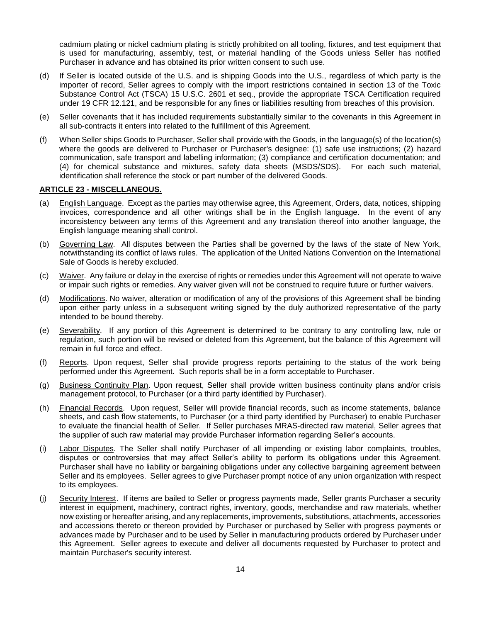cadmium plating or nickel cadmium plating is strictly prohibited on all tooling, fixtures, and test equipment that is used for manufacturing, assembly, test, or material handling of the Goods unless Seller has notified Purchaser in advance and has obtained its prior written consent to such use.

- (d) If Seller is located outside of the U.S. and is shipping Goods into the U.S., regardless of which party is the importer of record, Seller agrees to comply with the import restrictions contained in section 13 of the Toxic Substance Control Act (TSCA) 15 U.S.C. 2601 et seq., provide the appropriate TSCA Certification required under 19 CFR 12.121, and be responsible for any fines or liabilities resulting from breaches of this provision.
- (e) Seller covenants that it has included requirements substantially similar to the covenants in this Agreement in all sub-contracts it enters into related to the fulfillment of this Agreement.
- (f) When Seller ships Goods to Purchaser, Seller shall provide with the Goods, in the language(s) of the location(s) where the goods are delivered to Purchaser or Purchaser's designee: (1) safe use instructions; (2) hazard communication, safe transport and labelling information; (3) compliance and certification documentation; and (4) for chemical substance and mixtures, safety data sheets (MSDS/SDS). For each such material, identification shall reference the stock or part number of the delivered Goods.

#### **ARTICLE 23 - MISCELLANEOUS.**

- (a) English Language. Except as the parties may otherwise agree, this Agreement, Orders, data, notices, shipping invoices, correspondence and all other writings shall be in the English language. In the event of any inconsistency between any terms of this Agreement and any translation thereof into another language, the English language meaning shall control.
- (b) Governing Law. All disputes between the Parties shall be governed by the laws of the state of New York, notwithstanding its conflict of laws rules. The application of the United Nations Convention on the International Sale of Goods is hereby excluded.
- (c) Waiver. Any failure or delay in the exercise of rights or remedies under this Agreement will not operate to waive or impair such rights or remedies. Any waiver given will not be construed to require future or further waivers.
- (d) Modifications. No waiver, alteration or modification of any of the provisions of this Agreement shall be binding upon either party unless in a subsequent writing signed by the duly authorized representative of the party intended to be bound thereby.
- (e) Severability. If any portion of this Agreement is determined to be contrary to any controlling law, rule or regulation, such portion will be revised or deleted from this Agreement, but the balance of this Agreement will remain in full force and effect.
- (f) Reports. Upon request, Seller shall provide progress reports pertaining to the status of the work being performed under this Agreement. Such reports shall be in a form acceptable to Purchaser.
- (g) Business Continuity Plan. Upon request, Seller shall provide written business continuity plans and/or crisis management protocol, to Purchaser (or a third party identified by Purchaser).
- (h) Financial Records. Upon request, Seller will provide financial records, such as income statements, balance sheets, and cash flow statements, to Purchaser (or a third party identified by Purchaser) to enable Purchaser to evaluate the financial health of Seller. If Seller purchases MRAS-directed raw material, Seller agrees that the supplier of such raw material may provide Purchaser information regarding Seller's accounts.
- (i) Labor Disputes. The Seller shall notify Purchaser of all impending or existing labor complaints, troubles, disputes or controversies that may affect Seller's ability to perform its obligations under this Agreement. Purchaser shall have no liability or bargaining obligations under any collective bargaining agreement between Seller and its employees. Seller agrees to give Purchaser prompt notice of any union organization with respect to its employees.
- (j) Security Interest. If items are bailed to Seller or progress payments made, Seller grants Purchaser a security interest in equipment, machinery, contract rights, inventory, goods, merchandise and raw materials, whether now existing or hereafter arising, and any replacements, improvements, substitutions, attachments, accessories and accessions thereto or thereon provided by Purchaser or purchased by Seller with progress payments or advances made by Purchaser and to be used by Seller in manufacturing products ordered by Purchaser under this Agreement. Seller agrees to execute and deliver all documents requested by Purchaser to protect and maintain Purchaser's security interest.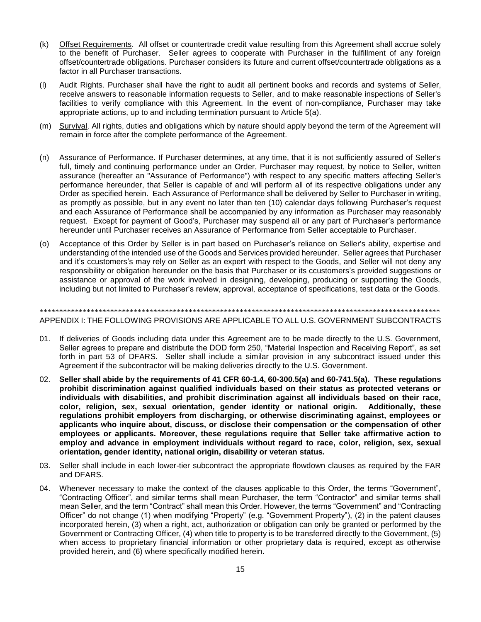- (k) Offset Requirements. All offset or countertrade credit value resulting from this Agreement shall accrue solely to the benefit of Purchaser. Seller agrees to cooperate with Purchaser in the fulfillment of any foreign offset/countertrade obligations. Purchaser considers its future and current offset/countertrade obligations as a factor in all Purchaser transactions.
- (l) Audit Rights. Purchaser shall have the right to audit all pertinent books and records and systems of Seller, receive answers to reasonable information requests to Seller, and to make reasonable inspections of Seller's facilities to verify compliance with this Agreement. In the event of non-compliance, Purchaser may take appropriate actions, up to and including termination pursuant to Article 5(a).
- (m) Survival. All rights, duties and obligations which by nature should apply beyond the term of the Agreement will remain in force after the complete performance of the Agreement.
- (n) Assurance of Performance. If Purchaser determines, at any time, that it is not sufficiently assured of Seller's full, timely and continuing performance under an Order, Purchaser may request, by notice to Seller, written assurance (hereafter an "Assurance of Performance") with respect to any specific matters affecting Seller's performance hereunder, that Seller is capable of and will perform all of its respective obligations under any Order as specified herein. Each Assurance of Performance shall be delivered by Seller to Purchaser in writing, as promptly as possible, but in any event no later than ten (10) calendar days following Purchaser's request and each Assurance of Performance shall be accompanied by any information as Purchaser may reasonably request. Except for payment of Good's, Purchaser may suspend all or any part of Purchaser's performance hereunder until Purchaser receives an Assurance of Performance from Seller acceptable to Purchaser.
- (o) Acceptance of this Order by Seller is in part based on Purchaser's reliance on Seller's ability, expertise and understanding of the intended use of the Goods and Services provided hereunder. Seller agrees that Purchaser and it's ccustomers's may rely on Seller as an expert with respect to the Goods, and Seller will not deny any responsibility or obligation hereunder on the basis that Purchaser or its ccustomers's provided suggestions or assistance or approval of the work involved in designing, developing, producing or supporting the Goods, including but not limited to Purchaser's review, approval, acceptance of specifications, test data or the Goods.

## \*\*\*\*\*\*\*\*\*\*\*\*\*\*\*\*\*\*\*\*\*\*\*\*\*\*\*\*\*\*\*\*\*\*\*\*\*\*\*\*\*\*\*\*\*\*\*\*\*\*\*\*\*\*\*\*\*\*\*\*\*\*\*\*\*\*\*\*\*\*\*\*\*\*\*\*\*\*\*\*\*\*\*\*\*\*\*\*\*\*\*\*\*\*\*\*\*\*\*\*\*\* APPENDIX I: THE FOLLOWING PROVISIONS ARE APPLICABLE TO ALL U.S. GOVERNMENT SUBCONTRACTS

- 01. If deliveries of Goods including data under this Agreement are to be made directly to the U.S. Government, Seller agrees to prepare and distribute the DOD form 250, "Material Inspection and Receiving Report", as set forth in part 53 of DFARS. Seller shall include a similar provision in any subcontract issued under this Agreement if the subcontractor will be making deliveries directly to the U.S. Government.
- 02. **Seller shall abide by the requirements of 41 CFR 60-1.4, 60-300.5(a) and 60-741.5(a). These regulations prohibit discrimination against qualified individuals based on their status as protected veterans or individuals with disabilities, and prohibit discrimination against all individuals based on their race, color, religion, sex, sexual orientation, gender identity or national origin. Additionally, these regulations prohibit employers from discharging, or otherwise discriminating against, employees or applicants who inquire about, discuss, or disclose their compensation or the compensation of other employees or applicants. Moreover, these regulations require that Seller take affirmative action to employ and advance in employment individuals without regard to race, color, religion, sex, sexual orientation, gender identity, national origin, disability or veteran status.**
- 03. Seller shall include in each lower-tier subcontract the appropriate flowdown clauses as required by the FAR and DFARS.
- 04. Whenever necessary to make the context of the clauses applicable to this Order, the terms "Government", "Contracting Officer", and similar terms shall mean Purchaser, the term "Contractor" and similar terms shall mean Seller, and the term "Contract" shall mean this Order. However, the terms "Government" and "Contracting Officer" do not change (1) when modifying "Property" (e.g. "Government Property"), (2) in the patent clauses incorporated herein, (3) when a right, act, authorization or obligation can only be granted or performed by the Government or Contracting Officer, (4) when title to property is to be transferred directly to the Government, (5) when access to proprietary financial information or other proprietary data is required, except as otherwise provided herein, and (6) where specifically modified herein.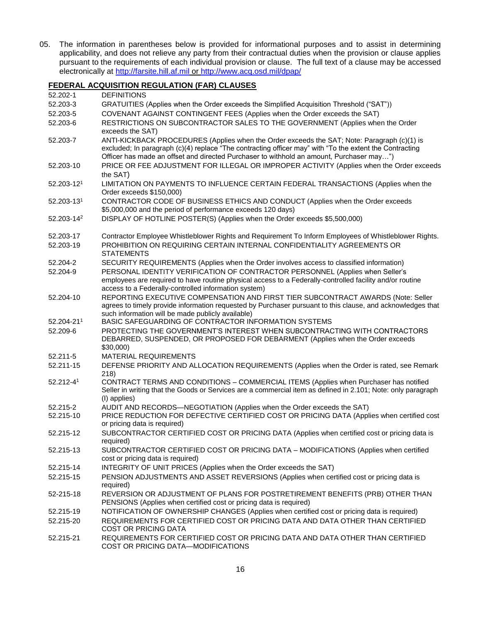05. The information in parentheses below is provided for informational purposes and to assist in determining applicability, and does not relieve any party from their contractual duties when the provision or clause applies pursuant to the requirements of each individual provision or clause. The full text of a clause may be accessed electronically at [http://farsite.hill.af.mil](http://farsite.hill.af.mil/) or<http://www.acq.osd.mil/dpap/>

## **FEDERAL ACQUISITION REGULATION (FAR) CLAUSES**

| 52.202-1               | <b>DEFINITIONS</b>                                                                                                                                                                                                                                                                                 |
|------------------------|----------------------------------------------------------------------------------------------------------------------------------------------------------------------------------------------------------------------------------------------------------------------------------------------------|
| 52.203-3               | GRATUITIES (Applies when the Order exceeds the Simplified Acquisition Threshold ("SAT"))                                                                                                                                                                                                           |
| 52.203-5               | COVENANT AGAINST CONTINGENT FEES (Applies when the Order exceeds the SAT)                                                                                                                                                                                                                          |
| 52.203-6               | RESTRICTIONS ON SUBCONTRACTOR SALES TO THE GOVERNMENT (Applies when the Order<br>exceeds the SAT)                                                                                                                                                                                                  |
| 52.203-7               | ANTI-KICKBACK PROCEDURES (Applies when the Order exceeds the SAT; Note: Paragraph (c)(1) is<br>excluded; In paragraph (c)(4) replace "The contracting officer may" with "To the extent the Contracting<br>Officer has made an offset and directed Purchaser to withhold an amount, Purchaser may") |
| 52.203-10              | PRICE OR FEE ADJUSTMENT FOR ILLEGAL OR IMPROPER ACTIVITY (Applies when the Order exceeds<br>the SAT)                                                                                                                                                                                               |
| $52.203 - 121$         | LIMITATION ON PAYMENTS TO INFLUENCE CERTAIN FEDERAL TRANSACTIONS (Applies when the<br>Order exceeds \$150,000)                                                                                                                                                                                     |
| 52.203-131             | CONTRACTOR CODE OF BUSINESS ETHICS AND CONDUCT (Applies when the Order exceeds<br>\$5,000,000 and the period of performance exceeds 120 days)                                                                                                                                                      |
| 52.203-14 <sup>2</sup> | DISPLAY OF HOTLINE POSTER(S) (Applies when the Order exceeds \$5,500,000)                                                                                                                                                                                                                          |
| 52.203-17              | Contractor Employee Whistleblower Rights and Requirement To Inform Employees of Whistleblower Rights.                                                                                                                                                                                              |
| 52.203-19              | PROHIBITION ON REQUIRING CERTAIN INTERNAL CONFIDENTIALITY AGREEMENTS OR<br><b>STATEMENTS</b>                                                                                                                                                                                                       |
| 52.204-2               | SECURITY REQUIREMENTS (Applies when the Order involves access to classified information)                                                                                                                                                                                                           |
| 52.204-9               | PERSONAL IDENTITY VERIFICATION OF CONTRACTOR PERSONNEL (Applies when Seller's<br>employees are required to have routine physical access to a Federally-controlled facility and/or routine<br>access to a Federally-controlled information system)                                                  |
| 52.204-10              | REPORTING EXECUTIVE COMPENSATION AND FIRST TIER SUBCONTRACT AWARDS (Note: Seller<br>agrees to timely provide information requested by Purchaser pursuant to this clause, and acknowledges that<br>such information will be made publicly available)                                                |
| $52.204 - 211$         | BASIC SAFEGUARDING OF CONTRACTOR INFORMATION SYSTEMS                                                                                                                                                                                                                                               |
| 52.209-6               | PROTECTING THE GOVERNMENT'S INTEREST WHEN SUBCONTRACTING WITH CONTRACTORS<br>DEBARRED, SUSPENDED, OR PROPOSED FOR DEBARMENT (Applies when the Order exceeds<br>\$30,000                                                                                                                            |
| 52.211-5               | <b>MATERIAL REQUIREMENTS</b>                                                                                                                                                                                                                                                                       |
| 52.211-15              | DEFENSE PRIORITY AND ALLOCATION REQUIREMENTS (Applies when the Order is rated, see Remark<br>218)                                                                                                                                                                                                  |
| $52.212 - 41$          | CONTRACT TERMS AND CONDITIONS - COMMERCIAL ITEMS (Applies when Purchaser has notified<br>Seller in writing that the Goods or Services are a commercial item as defined in 2.101; Note: only paragraph<br>(I) applies)                                                                              |
| 52.215-2               | AUDIT AND RECORDS-NEGOTIATION (Applies when the Order exceeds the SAT)                                                                                                                                                                                                                             |
| 52.215-10              | PRICE REDUCTION FOR DEFECTIVE CERTIFIED COST OR PRICING DATA (Applies when certified cost<br>or pricing data is required)                                                                                                                                                                          |
| 52.215-12              | SUBCONTRACTOR CERTIFIED COST OR PRICING DATA (Applies when certified cost or pricing data is<br>required)                                                                                                                                                                                          |
| 52.215-13              | SUBCONTRACTOR CERTIFIED COST OR PRICING DATA - MODIFICATIONS (Applies when certified<br>cost or pricing data is required)                                                                                                                                                                          |
| 52.215-14              | INTEGRITY OF UNIT PRICES (Applies when the Order exceeds the SAT)                                                                                                                                                                                                                                  |
| 52.215-15              | PENSION ADJUSTMENTS AND ASSET REVERSIONS (Applies when certified cost or pricing data is<br>required)                                                                                                                                                                                              |
| 52-215-18              | REVERSION OR ADJUSTMENT OF PLANS FOR POSTRETIREMENT BENEFITS (PRB) OTHER THAN<br>PENSIONS (Applies when certified cost or pricing data is required)                                                                                                                                                |
| 52.215-19              | NOTIFICATION OF OWNERSHIP CHANGES (Applies when certified cost or pricing data is required)                                                                                                                                                                                                        |
| 52.215-20              | REQUIREMENTS FOR CERTIFIED COST OR PRICING DATA AND DATA OTHER THAN CERTIFIED<br><b>COST OR PRICING DATA</b>                                                                                                                                                                                       |
| 52.215-21              | REQUIREMENTS FOR CERTIFIED COST OR PRICING DATA AND DATA OTHER THAN CERTIFIED<br>COST OR PRICING DATA-MODIFICATIONS                                                                                                                                                                                |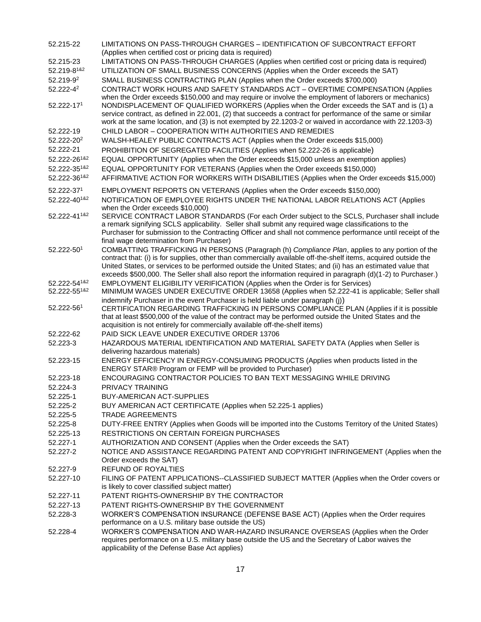| 52.215-22                  | LIMITATIONS ON PASS-THROUGH CHARGES - IDENTIFICATION OF SUBCONTRACT EFFORT                                                                                                                                                                                                                                                                                                                                                                        |
|----------------------------|---------------------------------------------------------------------------------------------------------------------------------------------------------------------------------------------------------------------------------------------------------------------------------------------------------------------------------------------------------------------------------------------------------------------------------------------------|
|                            | (Applies when certified cost or pricing data is required)                                                                                                                                                                                                                                                                                                                                                                                         |
| 52.215-23                  | LIMITATIONS ON PASS-THROUGH CHARGES (Applies when certified cost or pricing data is required)                                                                                                                                                                                                                                                                                                                                                     |
| 52.219-8182                | UTILIZATION OF SMALL BUSINESS CONCERNS (Applies when the Order exceeds the SAT)                                                                                                                                                                                                                                                                                                                                                                   |
| 52.219-92                  | SMALL BUSINESS CONTRACTING PLAN (Applies when the Order exceeds \$700,000)                                                                                                                                                                                                                                                                                                                                                                        |
| 52.222-42<br>52.222-171    | CONTRACT WORK HOURS AND SAFETY STANDARDS ACT - OVERTIME COMPENSATION (Applies<br>when the Order exceeds \$150,000 and may require or involve the employment of laborers or mechanics)<br>NONDISPLACEMENT OF QUALIFIED WORKERS (Applies when the Order exceeds the SAT and is (1) a<br>service contract, as defined in 22.001, (2) that succeeds a contract for performance of the same or similar                                                 |
|                            | work at the same location, and (3) is not exempted by 22.1203-2 or waived in accordance with 22.1203-3)                                                                                                                                                                                                                                                                                                                                           |
| 52.222-19                  | CHILD LABOR - COOPERATION WITH AUTHORITIES AND REMEDIES                                                                                                                                                                                                                                                                                                                                                                                           |
| 52.222-202                 | WALSH-HEALEY PUBLIC CONTRACTS ACT (Applies when the Order exceeds \$15,000)                                                                                                                                                                                                                                                                                                                                                                       |
| 52.222-21                  | PROHIBITION OF SEGREGATED FACILITIES (Applies when 52.222-26 is applicable)                                                                                                                                                                                                                                                                                                                                                                       |
| 52.222-26182               | EQUAL OPPORTUNITY (Applies when the Order exceeds \$15,000 unless an exemption applies)                                                                                                                                                                                                                                                                                                                                                           |
| 52.222-35182               | EQUAL OPPORTUNITY FOR VETERANS (Applies when the Order exceeds \$150,000)                                                                                                                                                                                                                                                                                                                                                                         |
| 52.222-361&2               | AFFIRMATIVE ACTION FOR WORKERS WITH DISABILITIES (Applies when the Order exceeds \$15,000)                                                                                                                                                                                                                                                                                                                                                        |
| 52.222-371<br>52.222-40182 | EMPLOYMENT REPORTS ON VETERANS (Applies when the Order exceeds \$150,000)<br>NOTIFICATION OF EMPLOYEE RIGHTS UNDER THE NATIONAL LABOR RELATIONS ACT (Applies<br>when the Order exceeds \$10,000)                                                                                                                                                                                                                                                  |
| 52.222-411&2               | SERVICE CONTRACT LABOR STANDARDS (For each Order subject to the SCLS, Purchaser shall include<br>a remark signifying SCLS applicability. Seller shall submit any required wage classifications to the<br>Purchaser for submission to the Contracting Officer and shall not commence performance until receipt of the<br>final wage determination from Purchaser)                                                                                  |
| 52.222-501                 | COMBATTING TRAFFICKING IN PERSONS (Paragraph (h) Compliance Plan, applies to any portion of the<br>contract that: (i) is for supplies, other than commercially available off-the-shelf items, acquired outside the<br>United States, or services to be performed outside the United States; and (ii) has an estimated value that<br>exceeds \$500,000. The Seller shall also report the information required in paragraph (d)(1-2) to Purchaser.) |
| 52.222-541&2               | EMPLOYMENT ELIGIBILITY VERIFICATION (Applies when the Order is for Services)                                                                                                                                                                                                                                                                                                                                                                      |
| 52.222-551&2               | MINIMUM WAGES UNDER EXECUTIVE ORDER 13658 (Applies when 52.222-41 is applicable; Seller shall                                                                                                                                                                                                                                                                                                                                                     |
| 52.222-561                 | indemnify Purchaser in the event Purchaser is held liable under paragraph (j))<br>CERTIFICATION REGARDING TRAFFICKING IN PERSONS COMPLIANCE PLAN (Applies if it is possible<br>that at least \$500,000 of the value of the contract may be performed outside the United States and the<br>acquisition is not entirely for commercially available off-the-shelf items)                                                                             |
| 52.222-62                  | PAID SICK LEAVE UNDER EXECUTIVE ORDER 13706                                                                                                                                                                                                                                                                                                                                                                                                       |
| 52.223-3                   | HAZARDOUS MATERIAL IDENTIFICATION AND MATERIAL SAFETY DATA (Applies when Seller is<br>delivering hazardous materials)                                                                                                                                                                                                                                                                                                                             |
| 52.223-15                  | ENERGY EFFICIENCY IN ENERGY-CONSUMING PRODUCTS (Applies when products listed in the<br>ENERGY STAR® Program or FEMP will be provided to Purchaser)                                                                                                                                                                                                                                                                                                |
| 52.223-18                  | ENCOURAGING CONTRACTOR POLICIES TO BAN TEXT MESSAGING WHILE DRIVING                                                                                                                                                                                                                                                                                                                                                                               |
| 52.224-3                   | PRIVACY TRAINING                                                                                                                                                                                                                                                                                                                                                                                                                                  |
| 52.225-1                   | <b>BUY-AMERICAN ACT-SUPPLIES</b>                                                                                                                                                                                                                                                                                                                                                                                                                  |
| 52.225-2                   | BUY AMERICAN ACT CERTIFICATE (Applies when 52.225-1 applies)                                                                                                                                                                                                                                                                                                                                                                                      |
| 52.225-5                   | <b>TRADE AGREEMENTS</b>                                                                                                                                                                                                                                                                                                                                                                                                                           |
| 52.225-8                   | DUTY-FREE ENTRY (Applies when Goods will be imported into the Customs Territory of the United States)                                                                                                                                                                                                                                                                                                                                             |
| 52.225-13                  | <b>RESTRICTIONS ON CERTAIN FOREIGN PURCHASES</b>                                                                                                                                                                                                                                                                                                                                                                                                  |
| 52.227-1                   | AUTHORIZATION AND CONSENT (Applies when the Order exceeds the SAT)                                                                                                                                                                                                                                                                                                                                                                                |
| 52.227-2                   | NOTICE AND ASSISTANCE REGARDING PATENT AND COPYRIGHT INFRINGEMENT (Applies when the                                                                                                                                                                                                                                                                                                                                                               |
|                            | Order exceeds the SAT)                                                                                                                                                                                                                                                                                                                                                                                                                            |
| 52.227-9                   | REFUND OF ROYALTIES                                                                                                                                                                                                                                                                                                                                                                                                                               |
| 52.227-10                  | FILING OF PATENT APPLICATIONS--CLASSIFIED SUBJECT MATTER (Applies when the Order covers or<br>is likely to cover classified subject matter)                                                                                                                                                                                                                                                                                                       |
| 52.227-11                  | PATENT RIGHTS-OWNERSHIP BY THE CONTRACTOR                                                                                                                                                                                                                                                                                                                                                                                                         |
| 52.227-13                  | PATENT RIGHTS-OWNERSHIP BY THE GOVERNMENT                                                                                                                                                                                                                                                                                                                                                                                                         |
| 52.228-3                   | WORKER'S COMPENSATION INSURANCE (DEFENSE BASE ACT) (Applies when the Order requires<br>performance on a U.S. military base outside the US)                                                                                                                                                                                                                                                                                                        |
| 52.228-4                   | WORKER'S COMPENSATION AND WAR-HAZARD INSURANCE OVERSEAS (Applies when the Order<br>requires performance on a U.S. military base outside the US and the Secretary of Labor waives the<br>applicability of the Defense Base Act applies)                                                                                                                                                                                                            |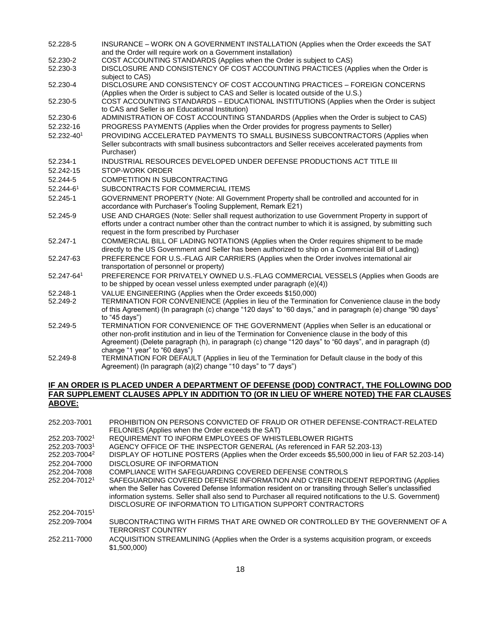| 52.228-5   | INSURANCE - WORK ON A GOVERNMENT INSTALLATION (Applies when the Order exceeds the SAT<br>and the Order will require work on a Government installation)                                                                                                          |
|------------|-----------------------------------------------------------------------------------------------------------------------------------------------------------------------------------------------------------------------------------------------------------------|
| 52.230-2   | COST ACCOUNTING STANDARDS (Applies when the Order is subject to CAS)                                                                                                                                                                                            |
| 52.230-3   | DISCLOSURE AND CONSISTENCY OF COST ACCOUNTING PRACTICES (Applies when the Order is<br>subject to CAS)                                                                                                                                                           |
| 52.230-4   | DISCLOSURE AND CONSISTENCY OF COST ACCOUNTING PRACTICES - FOREIGN CONCERNS<br>(Applies when the Order is subject to CAS and Seller is located outside of the U.S.)                                                                                              |
| 52.230-5   | COST ACCOUNTING STANDARDS - EDUCATIONAL INSTITUTIONS (Applies when the Order is subject<br>to CAS and Seller is an Educational Institution)                                                                                                                     |
| 52.230-6   | ADMINISTRATION OF COST ACCOUNTING STANDARDS (Applies when the Order is subject to CAS)                                                                                                                                                                          |
| 52.232-16  | PROGRESS PAYMENTS (Applies when the Order provides for progress payments to Seller)                                                                                                                                                                             |
| 52.232-401 | PROVIDING ACCELERATED PAYMENTS TO SMALL BUSINESS SUBCONTRACTORS (Applies when<br>Seller subcontracts with small business subcontractors and Seller receives accelerated payments from<br>Purchaser)                                                             |
| 52.234-1   | INDUSTRIAL RESOURCES DEVELOPED UNDER DEFENSE PRODUCTIONS ACT TITLE III                                                                                                                                                                                          |
| 52.242-15  | <b>STOP-WORK ORDER</b>                                                                                                                                                                                                                                          |
| 52.244-5   | <b>COMPETITION IN SUBCONTRACTING</b>                                                                                                                                                                                                                            |
| 52.244-61  | SUBCONTRACTS FOR COMMERCIAL ITEMS                                                                                                                                                                                                                               |
| 52.245-1   | GOVERNMENT PROPERTY (Note: All Government Property shall be controlled and accounted for in<br>accordance with Purchaser's Tooling Supplement, Remark E21)                                                                                                      |
| 52.245-9   | USE AND CHARGES (Note: Seller shall request authorization to use Government Property in support of<br>efforts under a contract number other than the contract number to which it is assigned, by submitting such<br>request in the form prescribed by Purchaser |
| 52.247-1   | COMMERCIAL BILL OF LADING NOTATIONS (Applies when the Order requires shipment to be made<br>directly to the US Government and Seller has been authorized to ship on a Commercial Bill of Lading)                                                                |
| 52.247-63  | PREFERENCE FOR U.S.-FLAG AIR CARRIERS (Applies when the Order involves international air<br>transportation of personnel or property)                                                                                                                            |
| 52.247-641 | PREFERENCE FOR PRIVATELY OWNED U.S.-FLAG COMMERCIAL VESSELS (Applies when Goods are<br>to be shipped by ocean vessel unless exempted under paragraph (e)(4))                                                                                                    |
| 52.248-1   | VALUE ENGINEERING (Applies when the Order exceeds \$150,000)                                                                                                                                                                                                    |
| 52.249-2   | TERMINATION FOR CONVENIENCE (Applies in lieu of the Termination for Convenience clause in the body                                                                                                                                                              |
|            | of this Agreement) (In paragraph (c) change "120 days" to "60 days," and in paragraph (e) change "90 days"<br>to "45 days")                                                                                                                                     |
| 52.249-5   | TERMINATION FOR CONVENIENCE OF THE GOVERNMENT (Applies when Seller is an educational or                                                                                                                                                                         |
|            | other non-profit institution and in lieu of the Termination for Convenience clause in the body of this<br>Agreement) (Delete paragraph (h), in paragraph (c) change "120 days" to "60 days", and in paragraph (d)<br>change "1 year" to "60 days")              |
| 52.249-8   | TERMINATION FOR DEFAULT (Applies in lieu of the Termination for Default clause in the body of this<br>Agreement) (In paragraph (a)(2) change "10 days" to "7 days")                                                                                             |

#### **IF AN ORDER IS PLACED UNDER A DEPARTMENT OF DEFENSE (DOD) CONTRACT, THE FOLLOWING DOD FAR SUPPLEMENT CLAUSES APPLY IN ADDITION TO (OR IN LIEU OF WHERE NOTED) THE FAR CLAUSES ABOVE:**

| 252.203-7001              | PROHIBITION ON PERSONS CONVICTED OF FRAUD OR OTHER DEFENSE-CONTRACT-RELATED                                                                                                                                                                                                                                                                                             |
|---------------------------|-------------------------------------------------------------------------------------------------------------------------------------------------------------------------------------------------------------------------------------------------------------------------------------------------------------------------------------------------------------------------|
|                           | FELONIES (Applies when the Order exceeds the SAT)                                                                                                                                                                                                                                                                                                                       |
| 252.203-70021             | REQUIREMENT TO INFORM EMPLOYEES OF WHISTLEBLOWER RIGHTS                                                                                                                                                                                                                                                                                                                 |
| 252.203-70031             | AGENCY OFFICE OF THE INSPECTOR GENERAL (As referenced in FAR 52.203-13)                                                                                                                                                                                                                                                                                                 |
| 252.203-7004 <sup>2</sup> | DISPLAY OF HOTLINE POSTERS (Applies when the Order exceeds \$5,500,000 in lieu of FAR 52.203-14)                                                                                                                                                                                                                                                                        |
| 252.204-7000              | DISCLOSURE OF INFORMATION                                                                                                                                                                                                                                                                                                                                               |
| 252.204-7008              | COMPLIANCE WITH SAFEGUARDING COVERED DEFENSE CONTROLS                                                                                                                                                                                                                                                                                                                   |
| 252.204-70121             | SAFEGUARDING COVERED DEFENSE INFORMATION AND CYBER INCIDENT REPORTING (Applies<br>when the Seller has Covered Defense Information resident on or transiting through Seller's unclassified<br>information systems. Seller shall also send to Purchaser all required notifications to the U.S. Government)<br>DISCLOSURE OF INFORMATION TO LITIGATION SUPPORT CONTRACTORS |
| 252.204-70151             |                                                                                                                                                                                                                                                                                                                                                                         |
| 252.209-7004              | SUBCONTRACTING WITH FIRMS THAT ARE OWNED OR CONTROLLED BY THE GOVERNMENT OF A<br><b>TERRORIST COUNTRY</b>                                                                                                                                                                                                                                                               |
| 252.211-7000              | ACQUISITION STREAMLINING (Applies when the Order is a systems acquisition program, or exceeds<br>\$1,500,000)                                                                                                                                                                                                                                                           |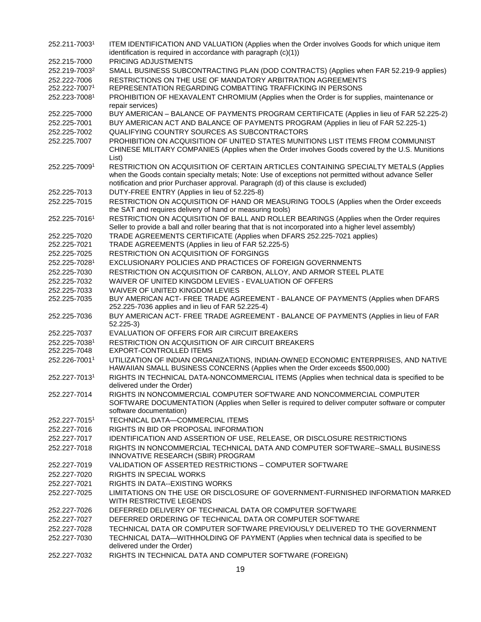| 252.211-70031                 | ITEM IDENTIFICATION AND VALUATION (Applies when the Order involves Goods for which unique item                                                                                                                                                                                       |
|-------------------------------|--------------------------------------------------------------------------------------------------------------------------------------------------------------------------------------------------------------------------------------------------------------------------------------|
|                               | identification is required in accordance with paragraph (c)(1))                                                                                                                                                                                                                      |
| 252.215-7000                  | PRICING ADJUSTMENTS                                                                                                                                                                                                                                                                  |
| 252.219-7003 <sup>2</sup>     | SMALL BUSINESS SUBCONTRACTING PLAN (DOD CONTRACTS) (Applies when FAR 52.219-9 applies)                                                                                                                                                                                               |
| 252.222-7006                  | RESTRICTIONS ON THE USE OF MANDATORY ARBITRATION AGREEMENTS                                                                                                                                                                                                                          |
| 252.222-70071                 | REPRESENTATION REGARDING COMBATTING TRAFFICKING IN PERSONS                                                                                                                                                                                                                           |
| 252.223-70081                 | PROHIBITION OF HEXAVALENT CHROMIUM (Applies when the Order is for supplies, maintenance or<br>repair services)                                                                                                                                                                       |
| 252.225-7000                  | BUY AMERICAN - BALANCE OF PAYMENTS PROGRAM CERTIFICATE (Applies in lieu of FAR 52.225-2)                                                                                                                                                                                             |
| 252.225-7001                  | BUY AMERICAN ACT AND BALANCE OF PAYMENTS PROGRAM (Applies in lieu of FAR 52.225-1)                                                                                                                                                                                                   |
| 252.225-7002                  | QUALIFYING COUNTRY SOURCES AS SUBCONTRACTORS                                                                                                                                                                                                                                         |
| 252.225.7007                  | PROHIBITION ON ACQUISITION OF UNITED STATES MUNITIONS LIST ITEMS FROM COMMUNIST<br>CHINESE MILITARY COMPANIES (Applies when the Order involves Goods covered by the U.S. Munitions<br>List)                                                                                          |
| 252.225-70091                 | RESTRICTION ON ACQUISITION OF CERTAIN ARTICLES CONTAINING SPECIALTY METALS (Applies<br>when the Goods contain specialty metals; Note: Use of exceptions not permitted without advance Seller<br>notification and prior Purchaser approval. Paragraph (d) of this clause is excluded) |
| 252.225-7013                  | DUTY-FREE ENTRY (Applies in lieu of 52.225-8)                                                                                                                                                                                                                                        |
| 252.225-7015                  | RESTRICTION ON ACQUISITION OF HAND OR MEASURING TOOLS (Applies when the Order exceeds<br>the SAT and requires delivery of hand or measuring tools)                                                                                                                                   |
| 252.225-70161                 | RESTRICTION ON ACQUISITION OF BALL AND ROLLER BEARINGS (Applies when the Order requires<br>Seller to provide a ball and roller bearing that that is not incorporated into a higher level assembly)                                                                                   |
| 252.225-7020                  | TRADE AGREEMENTS CERTIFICATE (Applies when DFARS 252.225-7021 applies)                                                                                                                                                                                                               |
| 252.225-7021                  | TRADE AGREEMENTS (Applies in lieu of FAR 52.225-5)                                                                                                                                                                                                                                   |
| 252.225-7025                  | <b>RESTRICTION ON ACQUISITION OF FORGINGS</b>                                                                                                                                                                                                                                        |
| 252.225-70281                 | EXCLUSIONARY POLICIES AND PRACTICES OF FOREIGN GOVERNMENTS                                                                                                                                                                                                                           |
| 252.225-7030                  | RESTRICTION ON ACQUISITION OF CARBON, ALLOY, AND ARMOR STEEL PLATE                                                                                                                                                                                                                   |
| 252.225-7032                  | WAIVER OF UNITED KINGDOM LEVIES - EVALUATION OF OFFERS                                                                                                                                                                                                                               |
| 252.225-7033                  | WAIVER OF UNITED KINGDOM LEVIES                                                                                                                                                                                                                                                      |
| 252.225-7035                  | BUY AMERICAN ACT- FREE TRADE AGREEMENT - BALANCE OF PAYMENTS (Applies when DFARS<br>252.225-7036 applies and in lieu of FAR 52.225-4)                                                                                                                                                |
| 252.225-7036                  | BUY AMERICAN ACT- FREE TRADE AGREEMENT - BALANCE OF PAYMENTS (Applies in lieu of FAR<br>$52.225-3)$                                                                                                                                                                                  |
| 252.225-7037                  | EVALUATION OF OFFERS FOR AIR CIRCUIT BREAKERS                                                                                                                                                                                                                                        |
| 252.225-70381<br>252.225-7048 | RESTRICTION ON ACQUISITION OF AIR CIRCUIT BREAKERS<br>EXPORT-CONTROLLED ITEMS                                                                                                                                                                                                        |
| 252.226-70011                 | UTILIZATION OF INDIAN ORGANIZATIONS, INDIAN-OWNED ECONOMIC ENTERPRISES, AND NATIVE<br>HAWAIIAN SMALL BUSINESS CONCERNS (Applies when the Order exceeds \$500,000)                                                                                                                    |
| 252.227-70131                 | RIGHTS IN TECHNICAL DATA-NONCOMMERCIAL ITEMS (Applies when technical data is specified to be<br>delivered under the Order)                                                                                                                                                           |
| 252.227-7014                  | RIGHTS IN NONCOMMERCIAL COMPUTER SOFTWARE AND NONCOMMERCIAL COMPUTER<br>SOFTWARE DOCUMENTATION (Applies when Seller is required to deliver computer software or computer                                                                                                             |
|                               | software documentation)                                                                                                                                                                                                                                                              |
| 252.227-7015                  | TECHNICAL DATA-COMMERCIAL ITEMS                                                                                                                                                                                                                                                      |
| 252.227-7016                  | RIGHTS IN BID OR PROPOSAL INFORMATION                                                                                                                                                                                                                                                |
| 252.227-7017                  | IDENTIFICATION AND ASSERTION OF USE, RELEASE, OR DISCLOSURE RESTRICTIONS                                                                                                                                                                                                             |
| 252.227-7018                  | RIGHTS IN NONCOMMERCIAL TECHNICAL DATA AND COMPUTER SOFTWARE--SMALL BUSINESS<br>INNOVATIVE RESEARCH (SBIR) PROGRAM                                                                                                                                                                   |
| 252.227-7019                  | VALIDATION OF ASSERTED RESTRICTIONS - COMPUTER SOFTWARE                                                                                                                                                                                                                              |
| 252.227-7020                  | <b>RIGHTS IN SPECIAL WORKS</b>                                                                                                                                                                                                                                                       |
| 252.227-7021                  | RIGHTS IN DATA--EXISTING WORKS                                                                                                                                                                                                                                                       |
| 252.227-7025                  | LIMITATIONS ON THE USE OR DISCLOSURE OF GOVERNMENT-FURNISHED INFORMATION MARKED<br>WITH RESTRICTIVE LEGENDS                                                                                                                                                                          |
| 252.227-7026                  | DEFERRED DELIVERY OF TECHNICAL DATA OR COMPUTER SOFTWARE                                                                                                                                                                                                                             |
| 252.227-7027                  | DEFERRED ORDERING OF TECHNICAL DATA OR COMPUTER SOFTWARE                                                                                                                                                                                                                             |
| 252.227-7028                  | TECHNICAL DATA OR COMPUTER SOFTWARE PREVIOUSLY DELIVERED TO THE GOVERNMENT                                                                                                                                                                                                           |
| 252.227-7030                  | TECHNICAL DATA—WITHHOLDING OF PAYMENT (Applies when technical data is specified to be<br>delivered under the Order)                                                                                                                                                                  |
| 252.227-7032                  | RIGHTS IN TECHNICAL DATA AND COMPUTER SOFTWARE (FOREIGN)                                                                                                                                                                                                                             |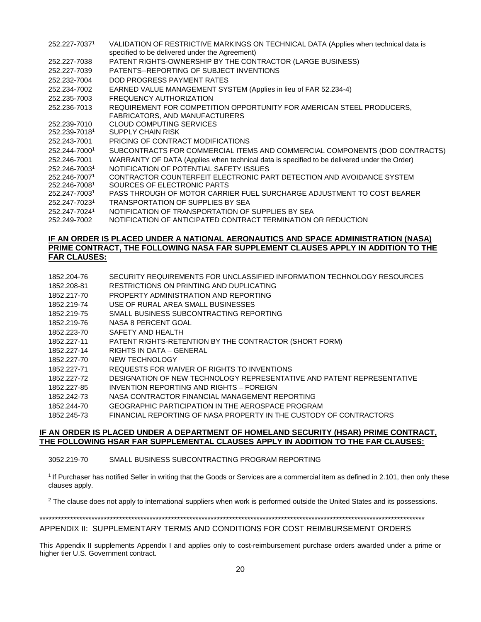- 252.227-7037<sup>1</sup> VALIDATION OF RESTRICTIVE MARKINGS ON TECHNICAL DATA (Applies when technical data is specified to be delivered under the Agreement)
- 252.227-7038 PATENT RIGHTS-OWNERSHIP BY THE CONTRACTOR (LARGE BUSINESS)
- 252.227-7039 PATENTS--REPORTING OF SUBJECT INVENTIONS
- 252.232-7004 DOD PROGRESS PAYMENT RATES
- 252.234-7002 EARNED VALUE MANAGEMENT SYSTEM (Applies in lieu of FAR 52.234-4)
- 252.235-7003 FREQUENCY AUTHORIZATION
- 252.236-7013 REQUIREMENT FOR COMPETITION OPPORTUNITY FOR AMERICAN STEEL PRODUCERS, FABRICATORS, AND MANUFACTURERS
- 252.239-7010 CLOUD COMPUTING SERVICES
- 252.239-7018<sup>1</sup> SUPPLY CHAIN RISK
- 252.243-7001 PRICING OF CONTRACT MODIFICATIONS
- 252.244-7000<sup>1</sup> SUBCONTRACTS FOR COMMERCIAL ITEMS AND COMMERCIAL COMPONENTS (DOD CONTRACTS)
- 252.246-7001 WARRANTY OF DATA (Applies when technical data is specified to be delivered under the Order)
- 252.246-7003<sup>1</sup> NOTIFICATION OF POTENTIAL SAFETY ISSUES
- 252.246-7007<sup>1</sup> 252.246-7008<sup>1</sup> CONTRACTOR COUNTERFEIT ELECTRONIC PART DETECTION AND AVOIDANCE SYSTEM SOURCES OF ELECTRONIC PARTS
- 252.247-7003<sup>1</sup> PASS THROUGH OF MOTOR CARRIER FUEL SURCHARGE ADJUSTMENT TO COST BEARER
- 252.247-7023<sup>1</sup> TRANSPORTATION OF SUPPLIES BY SEA
- 252.247-7024<sup>1</sup> NOTIFICATION OF TRANSPORTATION OF SUPPLIES BY SEA
- 252.249-7002 NOTIFICATION OF ANTICIPATED CONTRACT TERMINATION OR REDUCTION

#### **IF AN ORDER IS PLACED UNDER A NATIONAL AERONAUTICS AND SPACE ADMINISTRATION (NASA) PRIME CONTRACT, THE FOLLOWING NASA FAR SUPPLEMENT CLAUSES APPLY IN ADDITION TO THE FAR CLAUSES:**

- 1852.204-76 SECURITY REQUIREMENTS FOR UNCLASSIFIED INFORMATION TECHNOLOGY RESOURCES
- 1852.208-81 RESTRICTIONS ON PRINTING AND DUPLICATING
- 1852.217-70 PROPERTY ADMINISTRATION AND REPORTING
- 1852.219-74 USE OF RURAL AREA SMALL BUSINESSES
- 1852.219-75 SMALL BUSINESS SUBCONTRACTING REPORTING
- 1852.219-76 NASA 8 PERCENT GOAL
- 1852.223-70 SAFETY AND HEALTH
- 1852.227-11 PATENT RIGHTS-RETENTION BY THE CONTRACTOR (SHORT FORM)
- 1852.227-14 RIGHTS IN DATA GENERAL
- 1852.227-70 NEW TECHNOLOGY
- 1852.227-71 REQUESTS FOR WAIVER OF RIGHTS TO INVENTIONS
- 1852.227-72 DESIGNATION OF NEW TECHNOLOGY REPRESENTATIVE AND PATENT REPRESENTATIVE
- 1852.227-85 INVENTION REPORTING AND RIGHTS FOREIGN
- 1852.242-73 NASA CONTRACTOR FINANCIAL MANAGEMENT REPORTING
- 1852.244-70 GEOGRAPHIC PARTICIPATION IN THE AEROSPACE PROGRAM
- 1852.245-73 FINANCIAL REPORTING OF NASA PROPERTY IN THE CUSTODY OF CONTRACTORS

## **IF AN ORDER IS PLACED UNDER A DEPARTMENT OF HOMELAND SECURITY (HSAR) PRIME CONTRACT, THE FOLLOWING HSAR FAR SUPPLEMENTAL CLAUSES APPLY IN ADDITION TO THE FAR CLAUSES:**

3052.219-70 SMALL BUSINESS SUBCONTRACTING PROGRAM REPORTING

<sup>1</sup>If Purchaser has notified Seller in writing that the Goods or Services are a commercial item as defined in 2.101, then only these clauses apply.

<sup>2</sup> The clause does not apply to international suppliers when work is performed outside the United States and its possessions.

## \*\*\*\*\*\*\*\*\*\*\*\*\*\*\*\*\*\*\*\*\*\*\*\*\*\*\*\*\*\*\*\*\*\*\*\*\*\*\*\*\*\*\*\*\*\*\*\*\*\*\*\*\*\*\*\*\*\*\*\*\*\*\*\*\*\*\*\*\*\*\*\*\*\*\*\*\*\*\*\*\*\*\*\*\*\*\*\*\*\*\*\*\*\*\*\*\*\*\*\*\*\*\*\*\*\*\*\*\*\*\*\*\*\*\*\*\*\*\*\*\*\*\*\*\*\*

# APPENDIX II: SUPPLEMENTARY TERMS AND CONDITIONS FOR COST REIMBURSEMENT ORDERS

This Appendix II supplements Appendix I and applies only to cost-reimbursement purchase orders awarded under a prime or higher tier U.S. Government contract.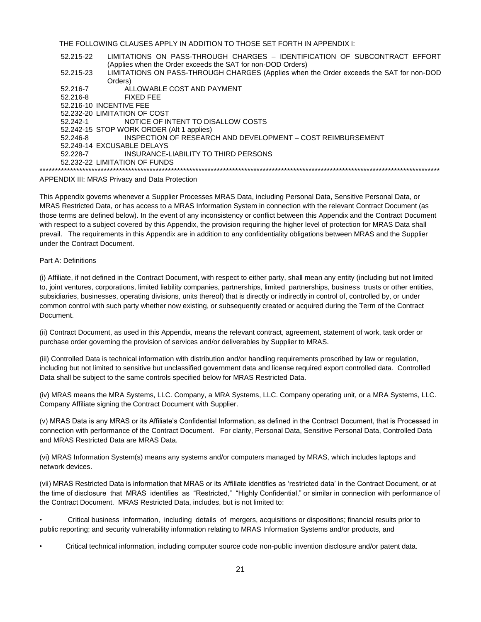THE FOLLOWING CLAUSES APPLY IN ADDITION TO THOSE SET FORTH IN APPENDIX I:

52.215-22 LIMITATIONS ON PASS-THROUGH CHARGES – IDENTIFICATION OF SUBCONTRACT EFFORT (Applies when the Order exceeds the SAT for non-DOD Orders) 52.215-23 LIMITATIONS ON PASS-THROUGH CHARGES (Applies when the Order exceeds the SAT for non-DOD Orders) 52.216-7 ALLOWABLE COST AND PAYMENT 52.216-8 FIXED FEE 52.216-10 INCENTIVE FEE 52.232-20 LIMITATION OF COST 52.242-1 NOTICE OF INTENT TO DISALLOW COSTS 52.242-15 STOP WORK ORDER (Alt 1 applies) 52.246-8 INSPECTION OF RESEARCH AND DEVELOPMENT – COST REIMBURSEMENT 52.249-14 EXCUSABLE DELAYS 52.228-7 INSURANCE-LIABILITY TO THIRD PERSONS 52.232-22 LIMITATION OF FUNDS \*\*\*\*\*\*\*\*\*\*\*\*\*\*\*\*\*\*\*\*\*\*\*\*\*\*\*\*\*\*\*\*\*\*\*\*\*\*\*\*\*\*\*\*\*\*\*\*\*\*\*\*\*\*\*\*\*\*\*\*\*\*\*\*\*\*\*\*\*\*\*\*\*\*\*\*\*\*\*\*\*\*\*\*\*\*\*\*\*\*\*\*\*\*\*\*\*\*\*\*\*\*\*\*\*\*\*\*\*\*\*\*\*\*\*\*\*\*\*\*\*\*\*\*\*\*\*\*\*\*\*

APPENDIX III: MRAS Privacy and Data Protection

This Appendix governs whenever a Supplier Processes MRAS Data, including Personal Data, Sensitive Personal Data, or MRAS Restricted Data, or has access to a MRAS Information System in connection with the relevant Contract Document (as those terms are defined below). In the event of any inconsistency or conflict between this Appendix and the Contract Document with respect to a subject covered by this Appendix, the provision requiring the higher level of protection for MRAS Data shall prevail. The requirements in this Appendix are in addition to any confidentiality obligations between MRAS and the Supplier under the Contract Document.

#### Part A: Definitions

(i) Affiliate, if not defined in the Contract Document, with respect to either party, shall mean any entity (including but not limited to, joint ventures, corporations, limited liability companies, partnerships, limited partnerships, business trusts or other entities, subsidiaries, businesses, operating divisions, units thereof) that is directly or indirectly in control of, controlled by, or under common control with such party whether now existing, or subsequently created or acquired during the Term of the Contract Document.

(ii) Contract Document, as used in this Appendix, means the relevant contract, agreement, statement of work, task order or purchase order governing the provision of services and/or deliverables by Supplier to MRAS.

(iii) Controlled Data is technical information with distribution and/or handling requirements proscribed by law or regulation, including but not limited to sensitive but unclassified government data and license required export controlled data. Controlled Data shall be subject to the same controls specified below for MRAS Restricted Data.

(iv) MRAS means the MRA Systems, LLC. Company, a MRA Systems, LLC. Company operating unit, or a MRA Systems, LLC. Company Affiliate signing the Contract Document with Supplier.

(v) MRAS Data is any MRAS or its Affiliate's Confidential Information, as defined in the Contract Document, that is Processed in connection with performance of the Contract Document. For clarity, Personal Data, Sensitive Personal Data, Controlled Data and MRAS Restricted Data are MRAS Data.

(vi) MRAS Information System(s) means any systems and/or computers managed by MRAS, which includes laptops and network devices.

(vii) MRAS Restricted Data is information that MRAS or its Affiliate identifies as 'restricted data' in the Contract Document, or at the time of disclosure that MRAS identifies as "Restricted," "Highly Confidential," or similar in connection with performance of the Contract Document. MRAS Restricted Data, includes, but is not limited to:

• Critical business information, including details of mergers, acquisitions or dispositions; financial results prior to public reporting; and security vulnerability information relating to MRAS Information Systems and/or products, and

• Critical technical information, including computer source code non-public invention disclosure and/or patent data.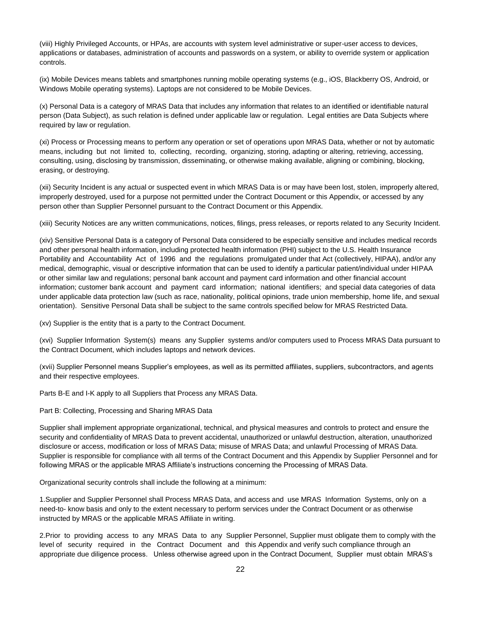(viii) Highly Privileged Accounts, or HPAs, are accounts with system level administrative or super-user access to devices, applications or databases, administration of accounts and passwords on a system, or ability to override system or application controls.

(ix) Mobile Devices means tablets and smartphones running mobile operating systems (e.g., iOS, Blackberry OS, Android, or Windows Mobile operating systems). Laptops are not considered to be Mobile Devices.

(x) Personal Data is a category of MRAS Data that includes any information that relates to an identified or identifiable natural person (Data Subject), as such relation is defined under applicable law or regulation. Legal entities are Data Subjects where required by law or regulation.

(xi) Process or Processing means to perform any operation or set of operations upon MRAS Data, whether or not by automatic means, including but not limited to, collecting, recording, organizing, storing, adapting or altering, retrieving, accessing, consulting, using, disclosing by transmission, disseminating, or otherwise making available, aligning or combining, blocking, erasing, or destroying.

(xii) Security Incident is any actual or suspected event in which MRAS Data is or may have been lost, stolen, improperly altered, improperly destroyed, used for a purpose not permitted under the Contract Document or this Appendix, or accessed by any person other than Supplier Personnel pursuant to the Contract Document or this Appendix.

(xiii) Security Notices are any written communications, notices, filings, press releases, or reports related to any Security Incident.

(xiv) Sensitive Personal Data is a category of Personal Data considered to be especially sensitive and includes medical records and other personal health information, including protected health information (PHI) subject to the U.S. Health Insurance Portability and Accountability Act of 1996 and the regulations promulgated under that Act (collectively, HIPAA), and/or any medical, demographic, visual or descriptive information that can be used to identify a particular patient/individual under HIPAA or other similar law and regulations; personal bank account and payment card information and other financial account information; customer bank account and payment card information; national identifiers; and special data categories of data under applicable data protection law (such as race, nationality, political opinions, trade union membership, home life, and sexual orientation). Sensitive Personal Data shall be subject to the same controls specified below for MRAS Restricted Data.

(xv) Supplier is the entity that is a party to the Contract Document.

(xvi) Supplier Information System(s) means any Supplier systems and/or computers used to Process MRAS Data pursuant to the Contract Document, which includes laptops and network devices.

(xvii) Supplier Personnel means Supplier's employees, as well as its permitted affiliates, suppliers, subcontractors, and agents and their respective employees.

Parts B-E and I-K apply to all Suppliers that Process any MRAS Data.

Part B: Collecting, Processing and Sharing MRAS Data

Supplier shall implement appropriate organizational, technical, and physical measures and controls to protect and ensure the security and confidentiality of MRAS Data to prevent accidental, unauthorized or unlawful destruction, alteration, unauthorized disclosure or access, modification or loss of MRAS Data; misuse of MRAS Data; and unlawful Processing of MRAS Data. Supplier is responsible for compliance with all terms of the Contract Document and this Appendix by Supplier Personnel and for following MRAS or the applicable MRAS Affiliate's instructions concerning the Processing of MRAS Data.

Organizational security controls shall include the following at a minimum:

1.Supplier and Supplier Personnel shall Process MRAS Data, and access and use MRAS Information Systems, only on a need-to- know basis and only to the extent necessary to perform services under the Contract Document or as otherwise instructed by MRAS or the applicable MRAS Affiliate in writing.

2.Prior to providing access to any MRAS Data to any Supplier Personnel, Supplier must obligate them to comply with the level of security required in the Contract Document and this Appendix and verify such compliance through an appropriate due diligence process. Unless otherwise agreed upon in the Contract Document, Supplier must obtain MRAS's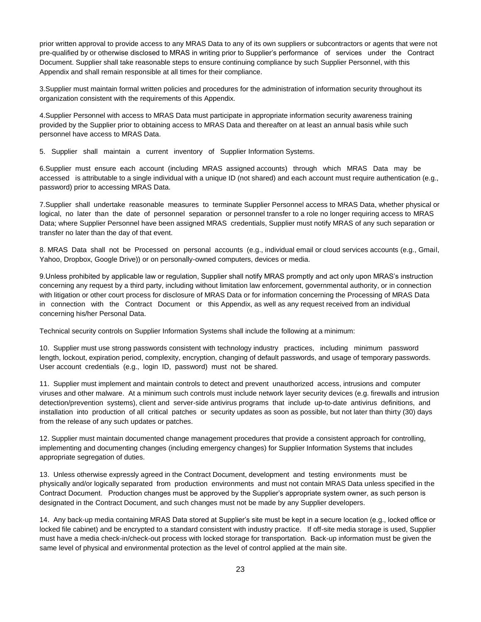prior written approval to provide access to any MRAS Data to any of its own suppliers or subcontractors or agents that were not pre-qualified by or otherwise disclosed to MRAS in writing prior to Supplier's performance of services under the Contract Document. Supplier shall take reasonable steps to ensure continuing compliance by such Supplier Personnel, with this Appendix and shall remain responsible at all times for their compliance.

3.Supplier must maintain formal written policies and procedures for the administration of information security throughout its organization consistent with the requirements of this Appendix.

4.Supplier Personnel with access to MRAS Data must participate in appropriate information security awareness training provided by the Supplier prior to obtaining access to MRAS Data and thereafter on at least an annual basis while such personnel have access to MRAS Data.

5. Supplier shall maintain a current inventory of Supplier Information Systems.

6.Supplier must ensure each account (including MRAS assigned accounts) through which MRAS Data may be accessed is attributable to a single individual with a unique ID (not shared) and each account must require authentication (e.g., password) prior to accessing MRAS Data.

7.Supplier shall undertake reasonable measures to terminate Supplier Personnel access to MRAS Data, whether physical or logical, no later than the date of personnel separation or personnel transfer to a role no longer requiring access to MRAS Data; where Supplier Personnel have been assigned MRAS credentials, Supplier must notify MRAS of any such separation or transfer no later than the day of that event.

8. MRAS Data shall not be Processed on personal accounts (e.g., individual email or cloud services accounts (e.g., Gmail, Yahoo, Dropbox, Google Drive)) or on personally-owned computers, devices or media.

9.Unless prohibited by applicable law or regulation, Supplier shall notify MRAS promptly and act only upon MRAS's instruction concerning any request by a third party, including without limitation law enforcement, governmental authority, or in connection with litigation or other court process for disclosure of MRAS Data or for information concerning the Processing of MRAS Data in connection with the Contract Document or this Appendix, as well as any request received from an individual concerning his/her Personal Data.

Technical security controls on Supplier Information Systems shall include the following at a minimum:

10. Supplier must use strong passwords consistent with technology industry practices, including minimum password length, lockout, expiration period, complexity, encryption, changing of default passwords, and usage of temporary passwords. User account credentials (e.g., login ID, password) must not be shared.

11. Supplier must implement and maintain controls to detect and prevent unauthorized access, intrusions and computer viruses and other malware. At a minimum such controls must include network layer security devices (e.g. firewalls and intrusion detection/prevention systems), client and server-side antivirus programs that include up-to-date antivirus definitions, and installation into production of all critical patches or security updates as soon as possible, but not later than thirty (30) days from the release of any such updates or patches.

12. Supplier must maintain documented change management procedures that provide a consistent approach for controlling, implementing and documenting changes (including emergency changes) for Supplier Information Systems that includes appropriate segregation of duties.

13. Unless otherwise expressly agreed in the Contract Document, development and testing environments must be physically and/or logically separated from production environments and must not contain MRAS Data unless specified in the Contract Document. Production changes must be approved by the Supplier's appropriate system owner, as such person is designated in the Contract Document, and such changes must not be made by any Supplier developers.

14. Any back-up media containing MRAS Data stored at Supplier's site must be kept in a secure location (e.g., locked office or locked file cabinet) and be encrypted to a standard consistent with industry practice. If off-site media storage is used, Supplier must have a media check-in/check-out process with locked storage for transportation. Back-up information must be given the same level of physical and environmental protection as the level of control applied at the main site.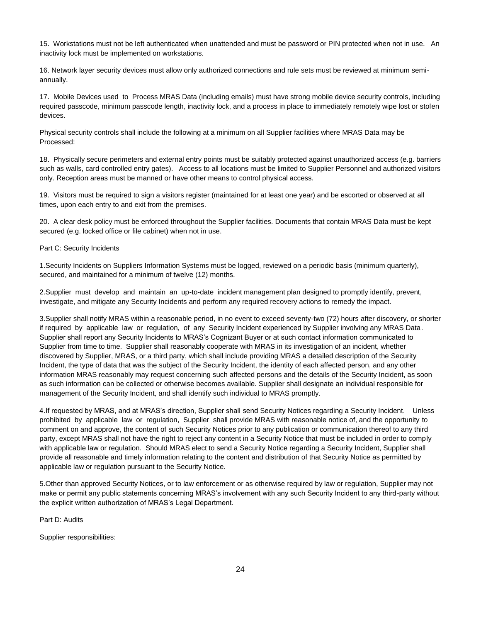15. Workstations must not be left authenticated when unattended and must be password or PIN protected when not in use. An inactivity lock must be implemented on workstations.

16. Network layer security devices must allow only authorized connections and rule sets must be reviewed at minimum semiannually.

17. Mobile Devices used to Process MRAS Data (including emails) must have strong mobile device security controls, including required passcode, minimum passcode length, inactivity lock, and a process in place to immediately remotely wipe lost or stolen devices.

Physical security controls shall include the following at a minimum on all Supplier facilities where MRAS Data may be Processed:

18. Physically secure perimeters and external entry points must be suitably protected against unauthorized access (e.g. barriers such as walls, card controlled entry gates). Access to all locations must be limited to Supplier Personnel and authorized visitors only. Reception areas must be manned or have other means to control physical access.

19. Visitors must be required to sign a visitors register (maintained for at least one year) and be escorted or observed at all times, upon each entry to and exit from the premises.

20. A clear desk policy must be enforced throughout the Supplier facilities. Documents that contain MRAS Data must be kept secured (e.g. locked office or file cabinet) when not in use.

#### Part C: Security Incidents

1.Security Incidents on Suppliers Information Systems must be logged, reviewed on a periodic basis (minimum quarterly), secured, and maintained for a minimum of twelve (12) months.

2.Supplier must develop and maintain an up-to-date incident management plan designed to promptly identify, prevent, investigate, and mitigate any Security Incidents and perform any required recovery actions to remedy the impact.

3.Supplier shall notify MRAS within a reasonable period, in no event to exceed seventy-two (72) hours after discovery, or shorter if required by applicable law or regulation, of any Security Incident experienced by Supplier involving any MRAS Data. Supplier shall report any Security Incidents to MRAS's Cognizant Buyer or at such contact information communicated to Supplier from time to time. Supplier shall reasonably cooperate with MRAS in its investigation of an incident, whether discovered by Supplier, MRAS, or a third party, which shall include providing MRAS a detailed description of the Security Incident, the type of data that was the subject of the Security Incident, the identity of each affected person, and any other information MRAS reasonably may request concerning such affected persons and the details of the Security Incident, as soon as such information can be collected or otherwise becomes available. Supplier shall designate an individual responsible for management of the Security Incident, and shall identify such individual to MRAS promptly.

4.If requested by MRAS, and at MRAS's direction, Supplier shall send Security Notices regarding a Security Incident. Unless prohibited by applicable law or regulation, Supplier shall provide MRAS with reasonable notice of, and the opportunity to comment on and approve, the content of such Security Notices prior to any publication or communication thereof to any third party, except MRAS shall not have the right to reject any content in a Security Notice that must be included in order to comply with applicable law or regulation. Should MRAS elect to send a Security Notice regarding a Security Incident, Supplier shall provide all reasonable and timely information relating to the content and distribution of that Security Notice as permitted by applicable law or regulation pursuant to the Security Notice.

5.Other than approved Security Notices, or to law enforcement or as otherwise required by law or regulation, Supplier may not make or permit any public statements concerning MRAS's involvement with any such Security Incident to any third-party without the explicit written authorization of MRAS's Legal Department.

Part D: Audits

Supplier responsibilities: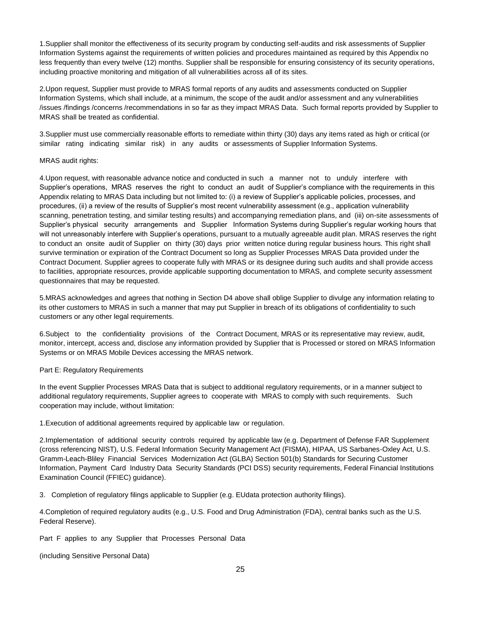1.Supplier shall monitor the effectiveness of its security program by conducting self-audits and risk assessments of Supplier Information Systems against the requirements of written policies and procedures maintained as required by this Appendix no less frequently than every twelve (12) months. Supplier shall be responsible for ensuring consistency of its security operations, including proactive monitoring and mitigation of all vulnerabilities across all of its sites.

2.Upon request, Supplier must provide to MRAS formal reports of any audits and assessments conducted on Supplier Information Systems, which shall include, at a minimum, the scope of the audit and/or assessment and any vulnerabilities /issues /findings /concerns /recommendations in so far as they impact MRAS Data. Such formal reports provided by Supplier to MRAS shall be treated as confidential.

3.Supplier must use commercially reasonable efforts to remediate within thirty (30) days any items rated as high or critical (or similar rating indicating similar risk) in any audits or assessments of Supplier Information Systems.

#### MRAS audit rights:

4.Upon request, with reasonable advance notice and conducted in such a manner not to unduly interfere with Supplier's operations, MRAS reserves the right to conduct an audit of Supplier's compliance with the requirements in this Appendix relating to MRAS Data including but not limited to: (i) a review of Supplier's applicable policies, processes, and procedures, (ii) a review of the results of Supplier's most recent vulnerability assessment (e.g., application vulnerability scanning, penetration testing, and similar testing results) and accompanying remediation plans, and (iii) on-site assessments of Supplier's physical security arrangements and Supplier Information Systems during Supplier's regular working hours that will not unreasonably interfere with Supplier's operations, pursuant to a mutually agreeable audit plan. MRAS reserves the right to conduct an onsite audit of Supplier on thirty (30) days prior written notice during regular business hours. This right shall survive termination or expiration of the Contract Document so long as Supplier Processes MRAS Data provided under the Contract Document. Supplier agrees to cooperate fully with MRAS or its designee during such audits and shall provide access to facilities, appropriate resources, provide applicable supporting documentation to MRAS, and complete security assessment questionnaires that may be requested.

5.MRAS acknowledges and agrees that nothing in Section D4 above shall oblige Supplier to divulge any information relating to its other customers to MRAS in such a manner that may put Supplier in breach of its obligations of confidentiality to such customers or any other legal requirements.

6.Subject to the confidentiality provisions of the Contract Document, MRAS or its representative may review, audit, monitor, intercept, access and, disclose any information provided by Supplier that is Processed or stored on MRAS Information Systems or on MRAS Mobile Devices accessing the MRAS network.

#### Part E: Regulatory Requirements

In the event Supplier Processes MRAS Data that is subject to additional regulatory requirements, or in a manner subject to additional regulatory requirements, Supplier agrees to cooperate with MRAS to comply with such requirements. Such cooperation may include, without limitation:

1.Execution of additional agreements required by applicable law or regulation.

2.Implementation of additional security controls required by applicable law (e.g. Department of Defense FAR Supplement (cross referencing NIST), U.S. Federal Information Security Management Act (FISMA), HIPAA, US Sarbanes-Oxley Act, U.S. Gramm-Leach-Bliley Financial Services Modernization Act (GLBA) Section 501(b) Standards for Securing Customer Information, Payment Card Industry Data Security Standards (PCI DSS) security requirements, Federal Financial Institutions Examination Council (FFIEC) guidance).

3. Completion of regulatory filings applicable to Supplier (e.g. EUdata protection authority filings).

4.Completion of required regulatory audits (e.g., U.S. Food and Drug Administration (FDA), central banks such as the U.S. Federal Reserve).

Part F applies to any Supplier that Processes Personal Data

(including Sensitive Personal Data)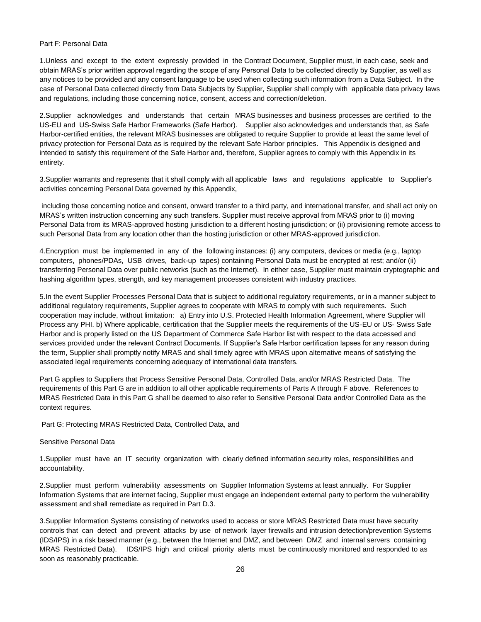#### Part F: Personal Data

1.Unless and except to the extent expressly provided in the Contract Document, Supplier must, in each case, seek and obtain MRAS's prior written approval regarding the scope of any Personal Data to be collected directly by Supplier, as well as any notices to be provided and any consent language to be used when collecting such information from a Data Subject. In the case of Personal Data collected directly from Data Subjects by Supplier, Supplier shall comply with applicable data privacy laws and regulations, including those concerning notice, consent, access and correction/deletion.

2.Supplier acknowledges and understands that certain MRAS businesses and business processes are certified to the US-EU and US-Swiss Safe Harbor Frameworks (Safe Harbor). Supplier also acknowledges and understands that, as Safe Harbor-certified entities, the relevant MRAS businesses are obligated to require Supplier to provide at least the same level of privacy protection for Personal Data as is required by the relevant Safe Harbor principles. This Appendix is designed and intended to satisfy this requirement of the Safe Harbor and, therefore, Supplier agrees to comply with this Appendix in its entirety.

3.Supplier warrants and represents that it shall comply with all applicable laws and regulations applicable to Supplier's activities concerning Personal Data governed by this Appendix,

including those concerning notice and consent, onward transfer to a third party, and international transfer, and shall act only on MRAS's written instruction concerning any such transfers. Supplier must receive approval from MRAS prior to (i) moving Personal Data from its MRAS-approved hosting jurisdiction to a different hosting jurisdiction; or (ii) provisioning remote access to such Personal Data from any location other than the hosting jurisdiction or other MRAS-approved jurisdiction.

4.Encryption must be implemented in any of the following instances: (i) any computers, devices or media (e.g., laptop computers, phones/PDAs, USB drives, back-up tapes) containing Personal Data must be encrypted at rest; and/or (ii) transferring Personal Data over public networks (such as the Internet). In either case, Supplier must maintain cryptographic and hashing algorithm types, strength, and key management processes consistent with industry practices.

5.In the event Supplier Processes Personal Data that is subject to additional regulatory requirements, or in a manner subject to additional regulatory requirements, Supplier agrees to cooperate with MRAS to comply with such requirements. Such cooperation may include, without limitation: a) Entry into U.S. Protected Health Information Agreement, where Supplier will Process any PHI. b) Where applicable, certification that the Supplier meets the requirements of the US-EU or US- Swiss Safe Harbor and is properly listed on the US Department of Commerce Safe Harbor list with respect to the data accessed and services provided under the relevant Contract Documents. If Supplier's Safe Harbor certification lapses for any reason during the term, Supplier shall promptly notify MRAS and shall timely agree with MRAS upon alternative means of satisfying the associated legal requirements concerning adequacy of international data transfers.

Part G applies to Suppliers that Process Sensitive Personal Data, Controlled Data, and/or MRAS Restricted Data. The requirements of this Part G are in addition to all other applicable requirements of Parts A through F above. References to MRAS Restricted Data in this Part G shall be deemed to also refer to Sensitive Personal Data and/or Controlled Data as the context requires.

Part G: Protecting MRAS Restricted Data, Controlled Data, and

#### Sensitive Personal Data

1.Supplier must have an IT security organization with clearly defined information security roles, responsibilities and accountability.

2.Supplier must perform vulnerability assessments on Supplier Information Systems at least annually. For Supplier Information Systems that are internet facing, Supplier must engage an independent external party to perform the vulnerability assessment and shall remediate as required in Part D.3.

3.Supplier Information Systems consisting of networks used to access or store MRAS Restricted Data must have security controls that can detect and prevent attacks by use of network layer firewalls and intrusion detection/prevention Systems (IDS/IPS) in a risk based manner (e.g., between the Internet and DMZ, and between DMZ and internal servers containing MRAS Restricted Data). IDS/IPS high and critical priority alerts must be continuously monitored and responded to as soon as reasonably practicable.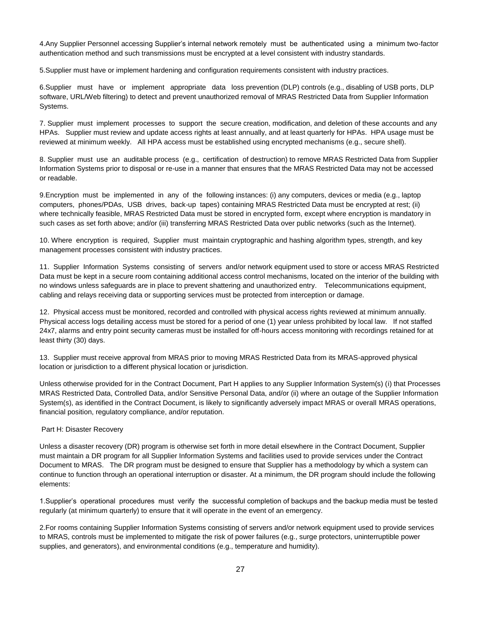4.Any Supplier Personnel accessing Supplier's internal network remotely must be authenticated using a minimum two-factor authentication method and such transmissions must be encrypted at a level consistent with industry standards.

5.Supplier must have or implement hardening and configuration requirements consistent with industry practices.

6.Supplier must have or implement appropriate data loss prevention (DLP) controls (e.g., disabling of USB ports, DLP software, URL/Web filtering) to detect and prevent unauthorized removal of MRAS Restricted Data from Supplier Information Systems.

7. Supplier must implement processes to support the secure creation, modification, and deletion of these accounts and any HPAs. Supplier must review and update access rights at least annually, and at least quarterly for HPAs. HPA usage must be reviewed at minimum weekly. All HPA access must be established using encrypted mechanisms (e.g., secure shell).

8. Supplier must use an auditable process (e.g., certification of destruction) to remove MRAS Restricted Data from Supplier Information Systems prior to disposal or re-use in a manner that ensures that the MRAS Restricted Data may not be accessed or readable.

9.Encryption must be implemented in any of the following instances: (i) any computers, devices or media (e.g., laptop computers, phones/PDAs, USB drives, back-up tapes) containing MRAS Restricted Data must be encrypted at rest; (ii) where technically feasible, MRAS Restricted Data must be stored in encrypted form, except where encryption is mandatory in such cases as set forth above; and/or (iii) transferring MRAS Restricted Data over public networks (such as the Internet).

10. Where encryption is required, Supplier must maintain cryptographic and hashing algorithm types, strength, and key management processes consistent with industry practices.

11. Supplier Information Systems consisting of servers and/or network equipment used to store or access MRAS Restricted Data must be kept in a secure room containing additional access control mechanisms, located on the interior of the building with no windows unless safeguards are in place to prevent shattering and unauthorized entry. Telecommunications equipment, cabling and relays receiving data or supporting services must be protected from interception or damage.

12. Physical access must be monitored, recorded and controlled with physical access rights reviewed at minimum annually. Physical access logs detailing access must be stored for a period of one (1) year unless prohibited by local law. If not staffed 24x7, alarms and entry point security cameras must be installed for off-hours access monitoring with recordings retained for at least thirty (30) days.

13. Supplier must receive approval from MRAS prior to moving MRAS Restricted Data from its MRAS-approved physical location or jurisdiction to a different physical location or jurisdiction.

Unless otherwise provided for in the Contract Document, Part H applies to any Supplier Information System(s) (i) that Processes MRAS Restricted Data, Controlled Data, and/or Sensitive Personal Data, and/or (ii) where an outage of the Supplier Information System(s), as identified in the Contract Document, is likely to significantly adversely impact MRAS or overall MRAS operations, financial position, regulatory compliance, and/or reputation.

#### Part H: Disaster Recovery

Unless a disaster recovery (DR) program is otherwise set forth in more detail elsewhere in the Contract Document, Supplier must maintain a DR program for all Supplier Information Systems and facilities used to provide services under the Contract Document to MRAS. The DR program must be designed to ensure that Supplier has a methodology by which a system can continue to function through an operational interruption or disaster. At a minimum, the DR program should include the following elements:

1.Supplier's operational procedures must verify the successful completion of backups and the backup media must be tested regularly (at minimum quarterly) to ensure that it will operate in the event of an emergency.

2.For rooms containing Supplier Information Systems consisting of servers and/or network equipment used to provide services to MRAS, controls must be implemented to mitigate the risk of power failures (e.g., surge protectors, uninterruptible power supplies, and generators), and environmental conditions (e.g., temperature and humidity).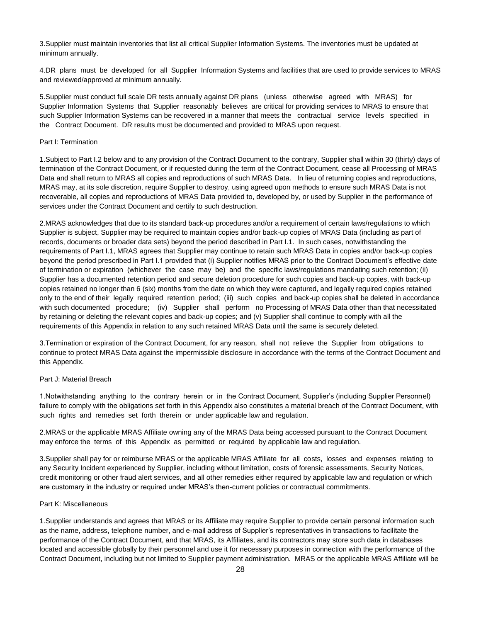3.Supplier must maintain inventories that list all critical Supplier Information Systems. The inventories must be updated at minimum annually.

4.DR plans must be developed for all Supplier Information Systems and facilities that are used to provide services to MRAS and reviewed/approved at minimum annually.

5.Supplier must conduct full scale DR tests annually against DR plans (unless otherwise agreed with MRAS) for Supplier Information Systems that Supplier reasonably believes are critical for providing services to MRAS to ensure that such Supplier Information Systems can be recovered in a manner that meets the contractual service levels specified in the Contract Document. DR results must be documented and provided to MRAS upon request.

#### Part I: Termination

1.Subject to Part I.2 below and to any provision of the Contract Document to the contrary, Supplier shall within 30 (thirty) days of termination of the Contract Document, or if requested during the term of the Contract Document, cease all Processing of MRAS Data and shall return to MRAS all copies and reproductions of such MRAS Data. In lieu of returning copies and reproductions, MRAS may, at its sole discretion, require Supplier to destroy, using agreed upon methods to ensure such MRAS Data is not recoverable, all copies and reproductions of MRAS Data provided to, developed by, or used by Supplier in the performance of services under the Contract Document and certify to such destruction.

2.MRAS acknowledges that due to its standard back-up procedures and/or a requirement of certain laws/regulations to which Supplier is subject, Supplier may be required to maintain copies and/or back-up copies of MRAS Data (including as part of records, documents or broader data sets) beyond the period described in Part I.1. In such cases, notwithstanding the requirements of Part I.1, MRAS agrees that Supplier may continue to retain such MRAS Data in copies and/or back-up copies beyond the period prescribed in Part I.1 provided that (i) Supplier notifies MRAS prior to the Contract Document's effective date of termination or expiration (whichever the case may be) and the specific laws/regulations mandating such retention; (ii) Supplier has a documented retention period and secure deletion procedure for such copies and back-up copies, with back-up copies retained no longer than 6 (six) months from the date on which they were captured, and legally required copies retained only to the end of their legally required retention period; (iii) such copies and back-up copies shall be deleted in accordance with such documented procedure; (iv) Supplier shall perform no Processing of MRAS Data other than that necessitated by retaining or deleting the relevant copies and back-up copies; and (v) Supplier shall continue to comply with all the requirements of this Appendix in relation to any such retained MRAS Data until the same is securely deleted.

3.Termination or expiration of the Contract Document, for any reason, shall not relieve the Supplier from obligations to continue to protect MRAS Data against the impermissible disclosure in accordance with the terms of the Contract Document and this Appendix.

#### Part J: Material Breach

1.Notwithstanding anything to the contrary herein or in the Contract Document, Supplier's (including Supplier Personnel) failure to comply with the obligations set forth in this Appendix also constitutes a material breach of the Contract Document, with such rights and remedies set forth therein or under applicable law and regulation.

2.MRAS or the applicable MRAS Affiliate owning any of the MRAS Data being accessed pursuant to the Contract Document may enforce the terms of this Appendix as permitted or required by applicable law and regulation.

3.Supplier shall pay for or reimburse MRAS or the applicable MRAS Affiliate for all costs, losses and expenses relating to any Security Incident experienced by Supplier, including without limitation, costs of forensic assessments, Security Notices, credit monitoring or other fraud alert services, and all other remedies either required by applicable law and regulation or which are customary in the industry or required under MRAS's then-current policies or contractual commitments.

#### Part K: Miscellaneous

1.Supplier understands and agrees that MRAS or its Affiliate may require Supplier to provide certain personal information such as the name, address, telephone number, and e-mail address of Supplier's representatives in transactions to facilitate the performance of the Contract Document, and that MRAS, its Affiliates, and its contractors may store such data in databases located and accessible globally by their personnel and use it for necessary purposes in connection with the performance of the Contract Document, including but not limited to Supplier payment administration. MRAS or the applicable MRAS Affiliate will be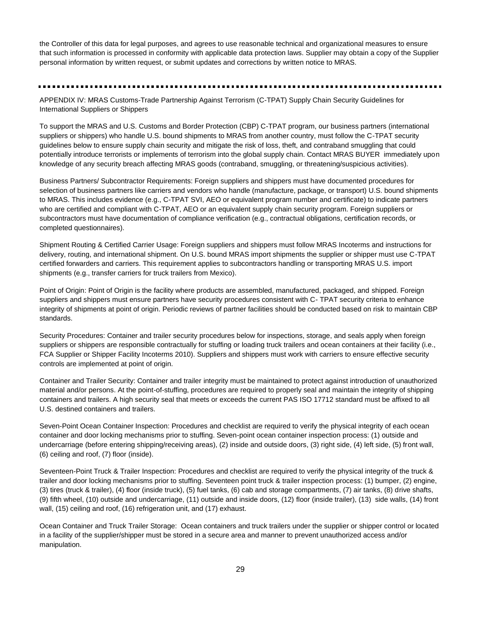the Controller of this data for legal purposes, and agrees to use reasonable technical and organizational measures to ensure that such information is processed in conformity with applicable data protection laws. Supplier may obtain a copy of the Supplier personal information by written request, or submit updates and corrections by written notice to MRAS.

#### 

APPENDIX IV: MRAS Customs-Trade Partnership Against Terrorism (C-TPAT) Supply Chain Security Guidelines for International Suppliers or Shippers

To support the MRAS and U.S. Customs and Border Protection (CBP) C-TPAT program, our business partners (international suppliers or shippers) who handle U.S. bound shipments to MRAS from another country, must follow the C-TPAT security guidelines below to ensure supply chain security and mitigate the risk of loss, theft, and contraband smuggling that could potentially introduce terrorists or implements of terrorism into the global supply chain. Contact MRAS BUYER immediately upon knowledge of any security breach affecting MRAS goods (contraband, smuggling, or threatening/suspicious activities).

Business Partners/ Subcontractor Requirements: Foreign suppliers and shippers must have documented procedures for selection of business partners like carriers and vendors who handle (manufacture, package, or transport) U.S. bound shipments to MRAS. This includes evidence (e.g., C-TPAT SVI, AEO or equivalent program number and certificate) to indicate partners who are certified and compliant with C-TPAT, AEO or an equivalent supply chain security program. Foreign suppliers or subcontractors must have documentation of compliance verification (e.g., contractual obligations, certification records, or completed questionnaires).

Shipment Routing & Certified Carrier Usage: Foreign suppliers and shippers must follow MRAS Incoterms and instructions for delivery, routing, and international shipment. On U.S. bound MRAS import shipments the supplier or shipper must use C-TPAT certified forwarders and carriers. This requirement applies to subcontractors handling or transporting MRAS U.S. import shipments (e.g., transfer carriers for truck trailers from Mexico).

Point of Origin: Point of Origin is the facility where products are assembled, manufactured, packaged, and shipped. Foreign suppliers and shippers must ensure partners have security procedures consistent with C- TPAT security criteria to enhance integrity of shipments at point of origin. Periodic reviews of partner facilities should be conducted based on risk to maintain CBP standards.

Security Procedures: Container and trailer security procedures below for inspections, storage, and seals apply when foreign suppliers or shippers are responsible contractually for stuffing or loading truck trailers and ocean containers at their facility (i.e., FCA Supplier or Shipper Facility Incoterms 2010). Suppliers and shippers must work with carriers to ensure effective security controls are implemented at point of origin.

Container and Trailer Security: Container and trailer integrity must be maintained to protect against introduction of unauthorized material and/or persons. At the point-of-stuffing, procedures are required to properly seal and maintain the integrity of shipping containers and trailers. A high security seal that meets or exceeds the current PAS ISO 17712 standard must be affixed to all U.S. destined containers and trailers.

Seven-Point Ocean Container Inspection: Procedures and checklist are required to verify the physical integrity of each ocean container and door locking mechanisms prior to stuffing. Seven-point ocean container inspection process: (1) outside and undercarriage (before entering shipping/receiving areas), (2) inside and outside doors, (3) right side, (4) left side, (5) front wall, (6) ceiling and roof, (7) floor (inside).

Seventeen-Point Truck & Trailer Inspection: Procedures and checklist are required to verify the physical integrity of the truck & trailer and door locking mechanisms prior to stuffing. Seventeen point truck & trailer inspection process: (1) bumper, (2) engine, (3) tires (truck & trailer), (4) floor (inside truck), (5) fuel tanks, (6) cab and storage compartments, (7) air tanks, (8) drive shafts, (9) fifth wheel, (10) outside and undercarriage, (11) outside and inside doors, (12) floor (inside trailer), (13) side walls, (14) front wall, (15) ceiling and roof, (16) refrigeration unit, and (17) exhaust.

Ocean Container and Truck Trailer Storage: Ocean containers and truck trailers under the supplier or shipper control or located in a facility of the supplier/shipper must be stored in a secure area and manner to prevent unauthorized access and/or manipulation.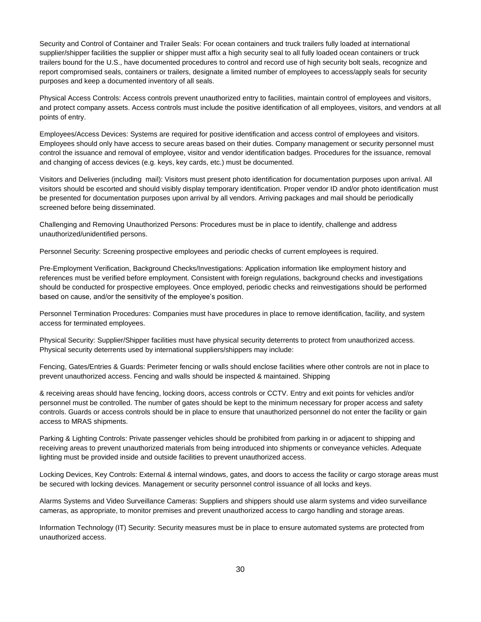Security and Control of Container and Trailer Seals: For ocean containers and truck trailers fully loaded at international supplier/shipper facilities the supplier or shipper must affix a high security seal to all fully loaded ocean containers or truck trailers bound for the U.S., have documented procedures to control and record use of high security bolt seals, recognize and report compromised seals, containers or trailers, designate a limited number of employees to access/apply seals for security purposes and keep a documented inventory of all seals.

Physical Access Controls: Access controls prevent unauthorized entry to facilities, maintain control of employees and visitors, and protect company assets. Access controls must include the positive identification of all employees, visitors, and vendors at all points of entry.

Employees/Access Devices: Systems are required for positive identification and access control of employees and visitors. Employees should only have access to secure areas based on their duties. Company management or security personnel must control the issuance and removal of employee, visitor and vendor identification badges. Procedures for the issuance, removal and changing of access devices (e.g. keys, key cards, etc.) must be documented.

Visitors and Deliveries (including mail): Visitors must present photo identification for documentation purposes upon arrival. All visitors should be escorted and should visibly display temporary identification. Proper vendor ID and/or photo identification must be presented for documentation purposes upon arrival by all vendors. Arriving packages and mail should be periodically screened before being disseminated.

Challenging and Removing Unauthorized Persons: Procedures must be in place to identify, challenge and address unauthorized/unidentified persons.

Personnel Security: Screening prospective employees and periodic checks of current employees is required.

Pre-Employment Verification, Background Checks/Investigations: Application information like employment history and references must be verified before employment. Consistent with foreign regulations, background checks and investigations should be conducted for prospective employees. Once employed, periodic checks and reinvestigations should be performed based on cause, and/or the sensitivity of the employee's position.

Personnel Termination Procedures: Companies must have procedures in place to remove identification, facility, and system access for terminated employees.

Physical Security: Supplier/Shipper facilities must have physical security deterrents to protect from unauthorized access. Physical security deterrents used by international suppliers/shippers may include:

Fencing, Gates/Entries & Guards: Perimeter fencing or walls should enclose facilities where other controls are not in place to prevent unauthorized access. Fencing and walls should be inspected & maintained. Shipping

& receiving areas should have fencing, locking doors, access controls or CCTV. Entry and exit points for vehicles and/or personnel must be controlled. The number of gates should be kept to the minimum necessary for proper access and safety controls. Guards or access controls should be in place to ensure that unauthorized personnel do not enter the facility or gain access to MRAS shipments.

Parking & Lighting Controls: Private passenger vehicles should be prohibited from parking in or adjacent to shipping and receiving areas to prevent unauthorized materials from being introduced into shipments or conveyance vehicles. Adequate lighting must be provided inside and outside facilities to prevent unauthorized access.

Locking Devices, Key Controls: External & internal windows, gates, and doors to access the facility or cargo storage areas must be secured with locking devices. Management or security personnel control issuance of all locks and keys.

Alarms Systems and Video Surveillance Cameras: Suppliers and shippers should use alarm systems and video surveillance cameras, as appropriate, to monitor premises and prevent unauthorized access to cargo handling and storage areas.

Information Technology (IT) Security: Security measures must be in place to ensure automated systems are protected from unauthorized access.